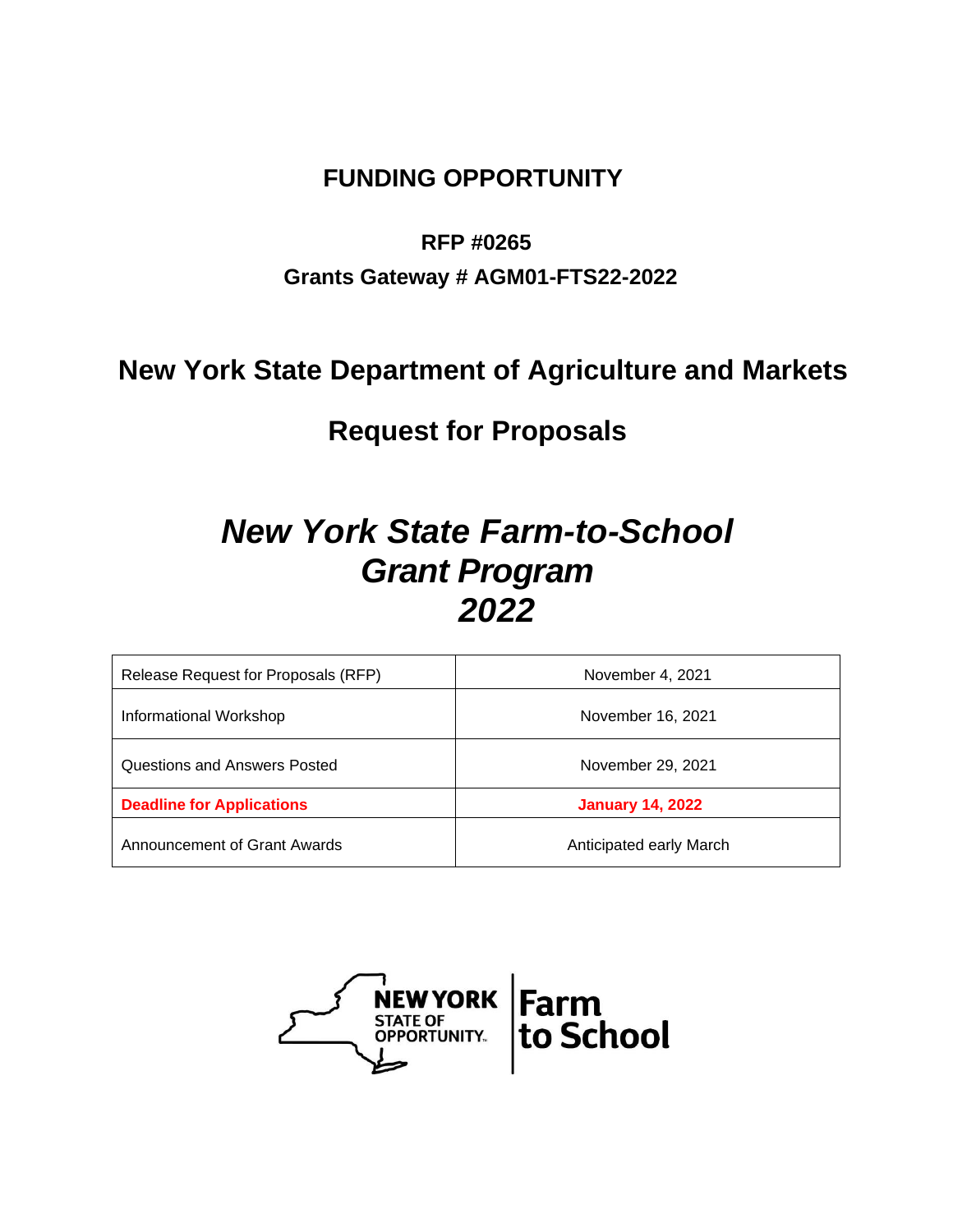# **FUNDING OPPORTUNITY**

# **RFP #0265**

# **Grants Gateway # AGM01-FTS22-2022**

# **New York State Department of Agriculture and Markets**

# **Request for Proposals**

# *New York State Farm-to-School Grant Program 2022*

| Release Request for Proposals (RFP) | November 4, 2021        |  |  |
|-------------------------------------|-------------------------|--|--|
| Informational Workshop              | November 16, 2021       |  |  |
| Questions and Answers Posted        | November 29, 2021       |  |  |
| <b>Deadline for Applications</b>    | <b>January 14, 2022</b> |  |  |
| Announcement of Grant Awards        | Anticipated early March |  |  |

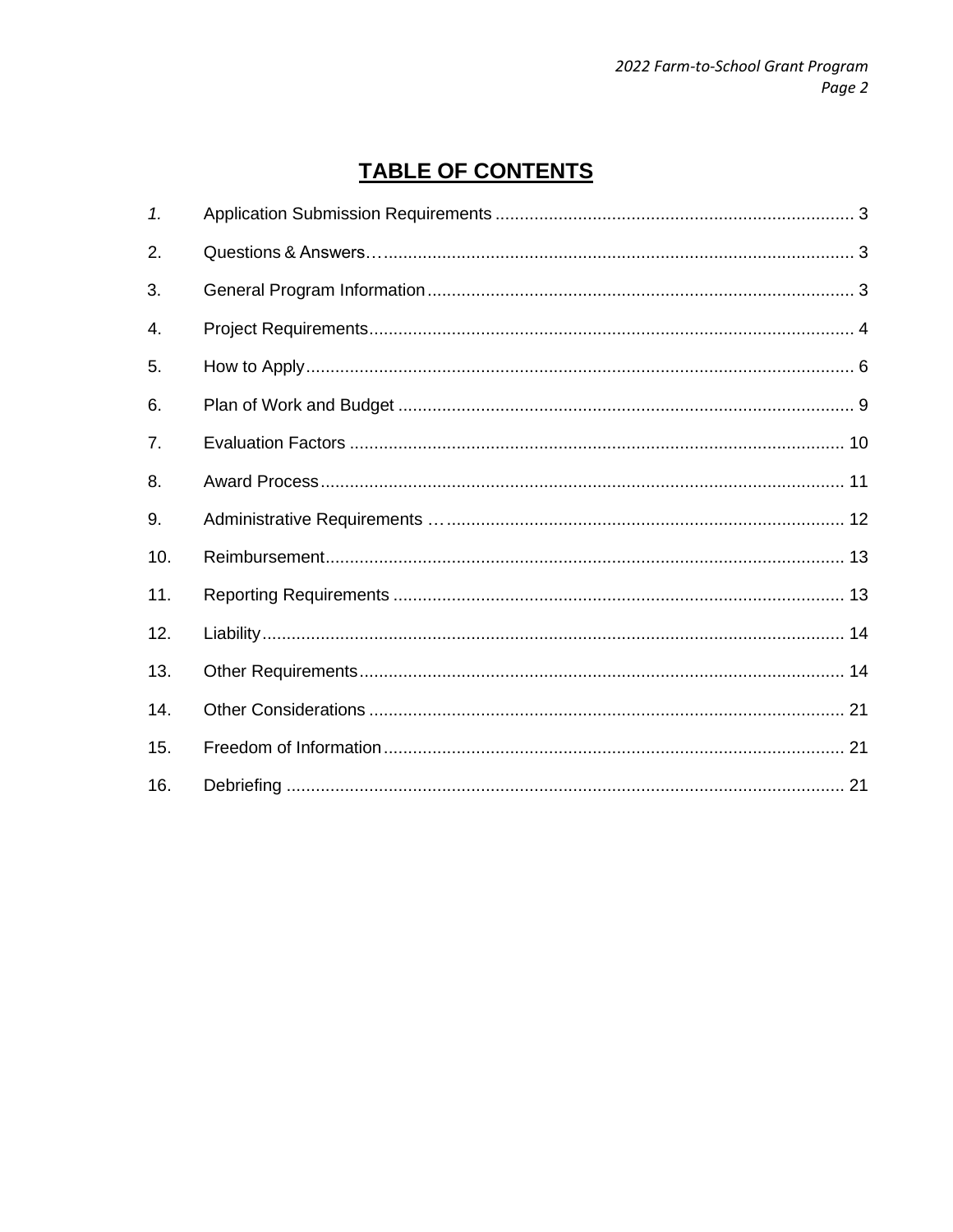# **TABLE OF CONTENTS**

| 1.  |  |
|-----|--|
| 2.  |  |
| 3.  |  |
| 4.  |  |
| 5.  |  |
| 6.  |  |
| 7.  |  |
| 8.  |  |
| 9.  |  |
| 10. |  |
| 11. |  |
| 12. |  |
| 13. |  |
| 14. |  |
| 15. |  |
| 16. |  |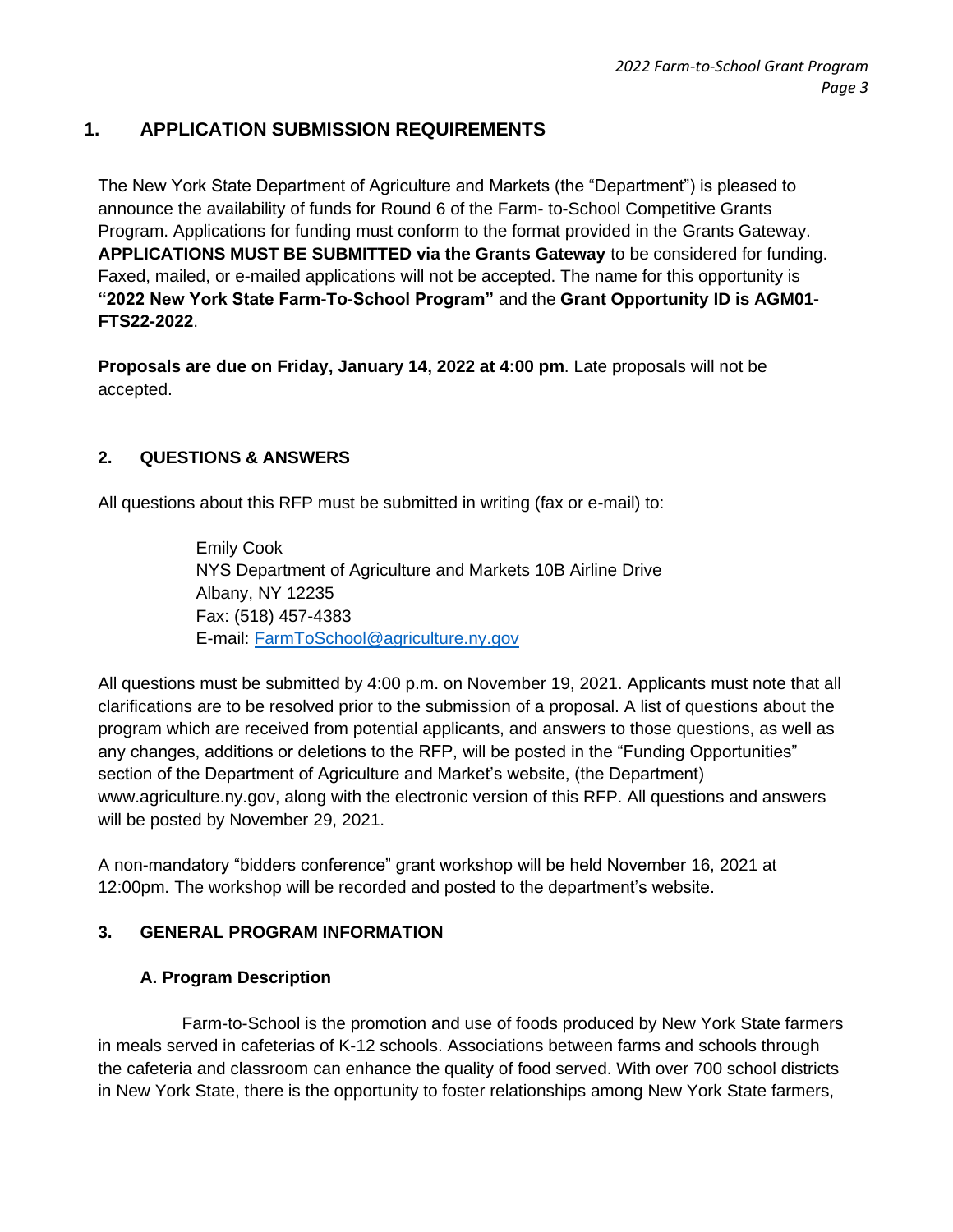# **1. APPLICATION SUBMISSION REQUIREMENTS**

The New York State Department of Agriculture and Markets (the "Department") is pleased to announce the availability of funds for Round 6 of the Farm- to-School Competitive Grants Program. Applications for funding must conform to the format provided in the Grants Gateway. **APPLICATIONS MUST BE SUBMITTED via the Grants Gateway** to be considered for funding. Faxed, mailed, or e-mailed applications will not be accepted. The name for this opportunity is **"2022 New York State Farm-To-School Program"** and the **Grant Opportunity ID is AGM01- FTS22-2022**.

**Proposals are due on Friday, January 14, 2022 at 4:00 pm**. Late proposals will not be accepted.

#### **2. QUESTIONS & ANSWERS**

All questions about this RFP must be submitted in writing (fax or e-mail) to:

Emily Cook NYS Department of Agriculture and Markets 10B Airline Drive Albany, NY 12235 Fax: (518) 457-4383 E-mail: [FarmToSchool@agriculture.ny.gov](mailto:FarmToSchool@agriculture.ny.gov)

All questions must be submitted by 4:00 p.m. on November 19, 2021. Applicants must note that all clarifications are to be resolved prior to the submission of a proposal. A list of questions about the program which are received from potential applicants, and answers to those questions, as well as any changes, additions or deletions to the RFP, will be posted in the "Funding Opportunities" section of the Department of Agriculture and Market's website, (the Department) www.agriculture.ny.gov, along with the electronic version of this RFP. All questions and answers will be posted by November 29, 2021.

A non-mandatory "bidders conference" grant workshop will be held November 16, 2021 at 12:00pm. The workshop will be recorded and posted to the department's website.

#### **3. GENERAL PROGRAM INFORMATION**

#### **A. Program Description**

Farm-to-School is the promotion and use of foods produced by New York State farmers in meals served in cafeterias of K-12 schools. Associations between farms and schools through the cafeteria and classroom can enhance the quality of food served. With over 700 school districts in New York State, there is the opportunity to foster relationships among New York State farmers,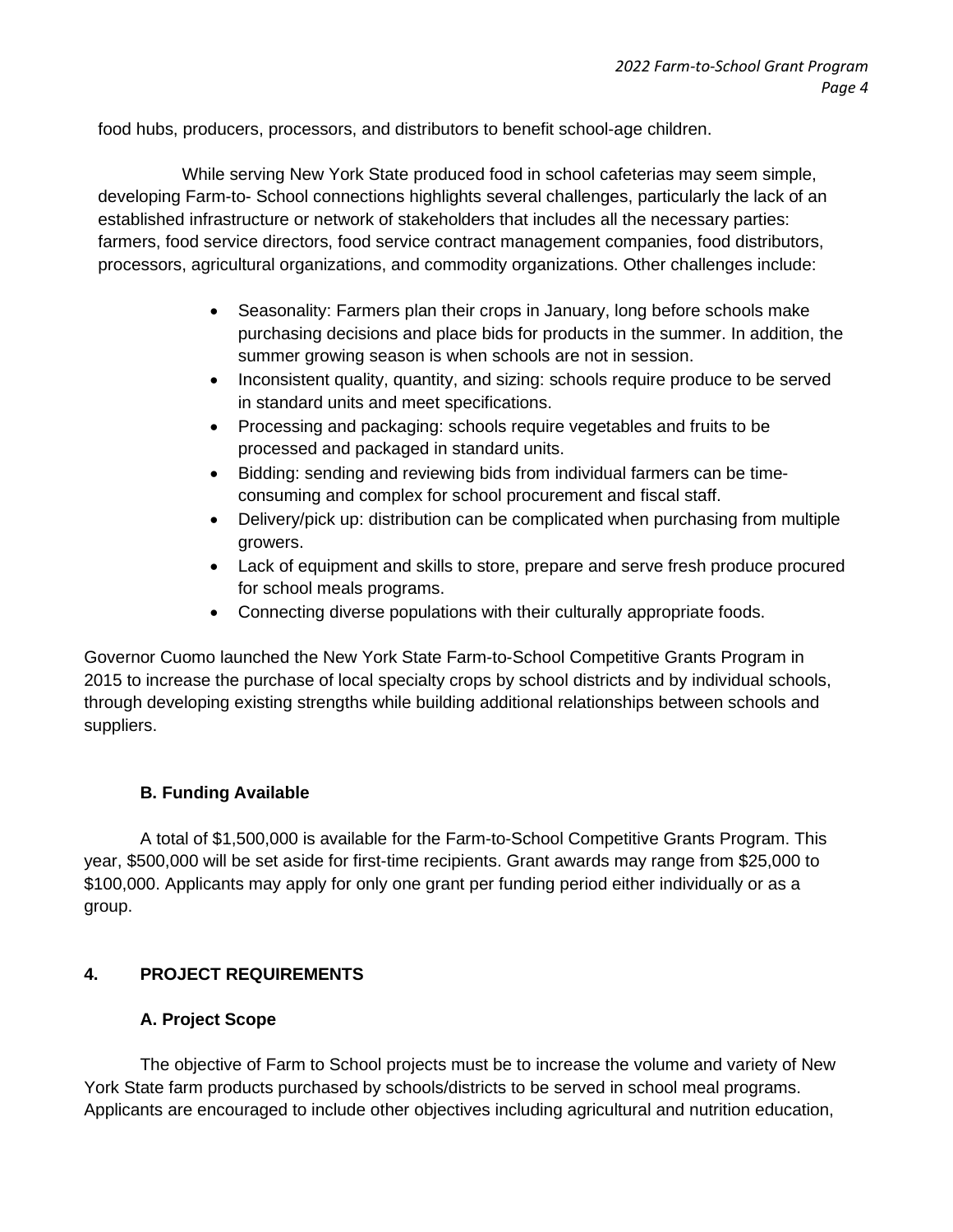food hubs, producers, processors, and distributors to benefit school-age children.

While serving New York State produced food in school cafeterias may seem simple, developing Farm-to- School connections highlights several challenges, particularly the lack of an established infrastructure or network of stakeholders that includes all the necessary parties: farmers, food service directors, food service contract management companies, food distributors, processors, agricultural organizations, and commodity organizations. Other challenges include:

- Seasonality: Farmers plan their crops in January, long before schools make purchasing decisions and place bids for products in the summer. In addition, the summer growing season is when schools are not in session.
- Inconsistent quality, quantity, and sizing: schools require produce to be served in standard units and meet specifications.
- Processing and packaging: schools require vegetables and fruits to be processed and packaged in standard units.
- Bidding: sending and reviewing bids from individual farmers can be timeconsuming and complex for school procurement and fiscal staff.
- Delivery/pick up: distribution can be complicated when purchasing from multiple growers.
- Lack of equipment and skills to store, prepare and serve fresh produce procured for school meals programs.
- Connecting diverse populations with their culturally appropriate foods.

Governor Cuomo launched the New York State Farm-to-School Competitive Grants Program in 2015 to increase the purchase of local specialty crops by school districts and by individual schools, through developing existing strengths while building additional relationships between schools and suppliers.

#### **B. Funding Available**

A total of \$1,500,000 is available for the Farm-to-School Competitive Grants Program. This year, \$500,000 will be set aside for first-time recipients. Grant awards may range from \$25,000 to \$100,000. Applicants may apply for only one grant per funding period either individually or as a group.

#### **4. PROJECT REQUIREMENTS**

#### **A. Project Scope**

The objective of Farm to School projects must be to increase the volume and variety of New York State farm products purchased by schools/districts to be served in school meal programs. Applicants are encouraged to include other objectives including agricultural and nutrition education,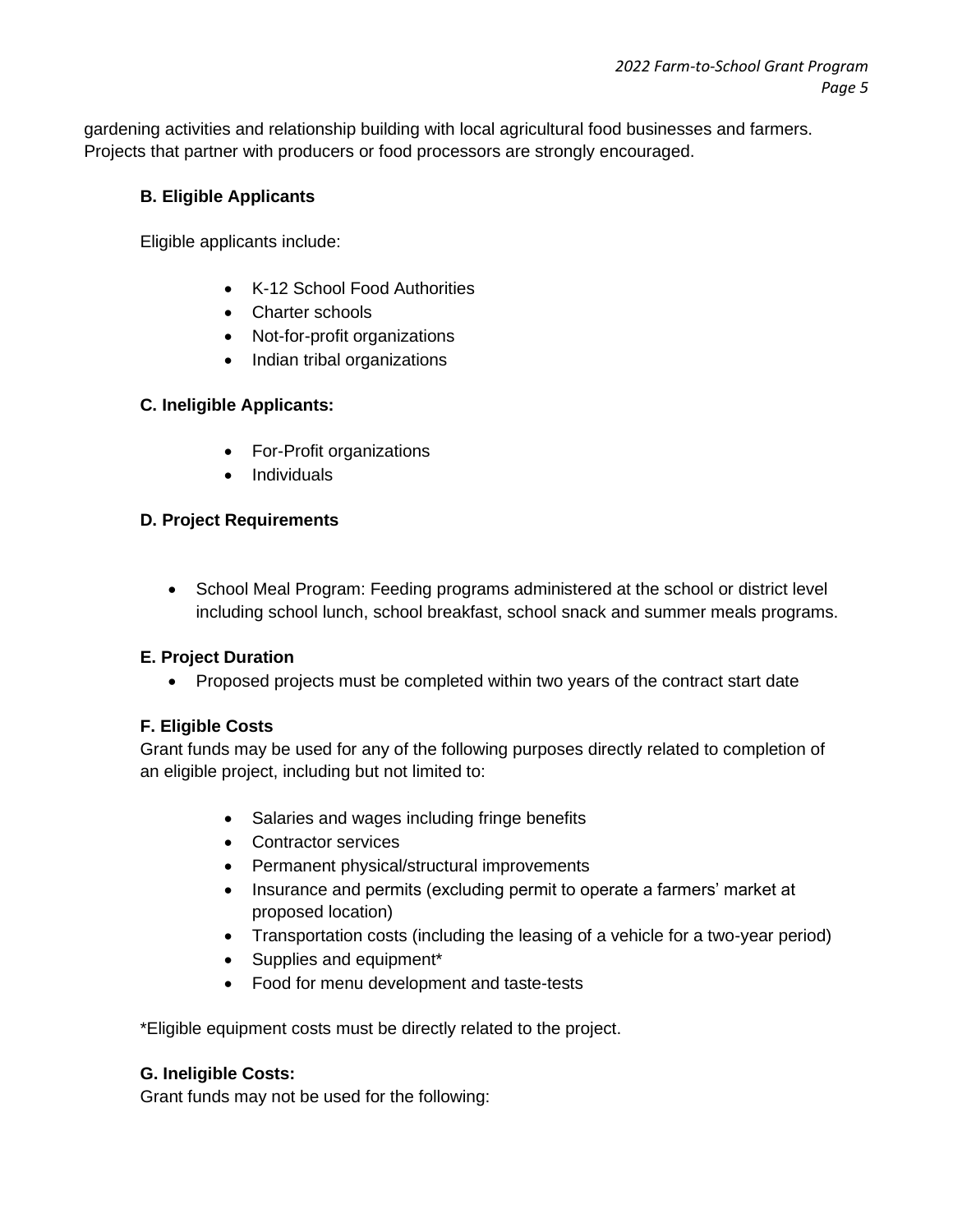gardening activities and relationship building with local agricultural food businesses and farmers. Projects that partner with producers or food processors are strongly encouraged.

### **B. Eligible Applicants**

Eligible applicants include:

- K-12 School Food Authorities
- Charter schools
- Not-for-profit organizations
- Indian tribal organizations

# **C. Ineligible Applicants:**

- For-Profit organizations
- Individuals

#### **D. Project Requirements**

• School Meal Program: Feeding programs administered at the school or district level including school lunch, school breakfast, school snack and summer meals programs.

# **E. Project Duration**

• Proposed projects must be completed within two years of the contract start date

# **F. Eligible Costs**

Grant funds may be used for any of the following purposes directly related to completion of an eligible project, including but not limited to:

- Salaries and wages including fringe benefits
- Contractor services
- Permanent physical/structural improvements
- Insurance and permits (excluding permit to operate a farmers' market at proposed location)
- Transportation costs (including the leasing of a vehicle for a two-year period)
- Supplies and equipment\*
- Food for menu development and taste-tests

\*Eligible equipment costs must be directly related to the project.

# **G. Ineligible Costs:**

Grant funds may not be used for the following: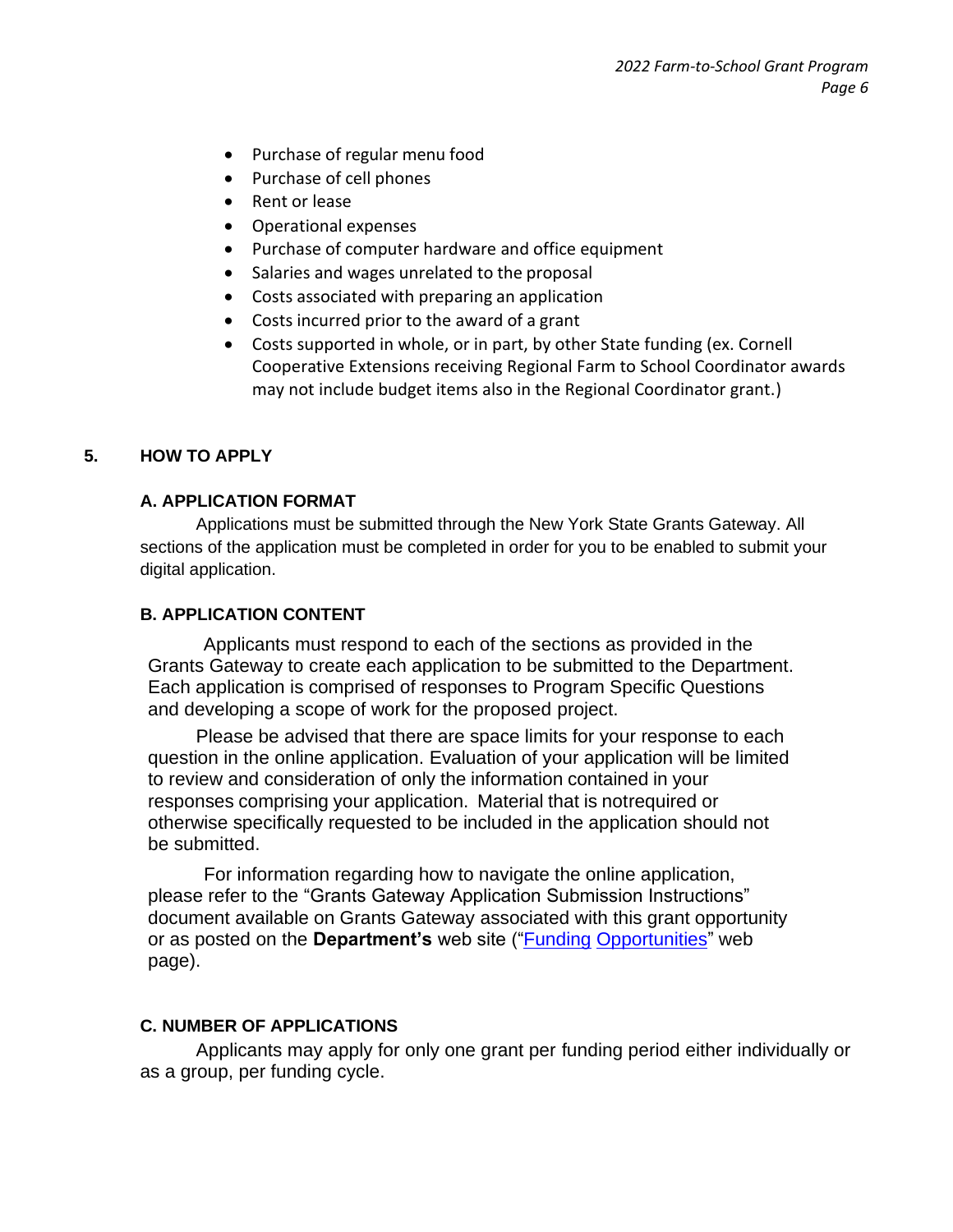- Purchase of regular menu food
- Purchase of cell phones
- Rent or lease
- Operational expenses
- Purchase of computer hardware and office equipment
- Salaries and wages unrelated to the proposal
- Costs associated with preparing an application
- Costs incurred prior to the award of a grant
- Costs supported in whole, or in part, by other State funding (ex. Cornell Cooperative Extensions receiving Regional Farm to School Coordinator awards may not include budget items also in the Regional Coordinator grant.)

#### **5. HOW TO APPLY**

#### **A. APPLICATION FORMAT**

Applications must be submitted through the New York State Grants Gateway. All sections of the application must be completed in order for you to be enabled to submit your digital application.

#### **B. APPLICATION CONTENT**

Applicants must respond to each of the sections as provided in the Grants Gateway to create each application to be submitted to the Department. Each application is comprised of responses to Program Specific Questions and developing a scope of work for the proposed project.

Please be advised that there are space limits for your response to each question in the online application. Evaluation of your application will be limited to review and consideration of only the information contained in your responses comprising your application. Material that is notrequired or otherwise specifically requested to be included in the application should not be submitted.

For information regarding how to navigate the online application, please refer to the "Grants Gateway Application Submission Instructions" document available on Grants Gateway associated with this grant opportunity or as posted on the **Department's** web site (["Funding](https://agriculture.ny.gov/funding-opportunities) [Opportunities"](https://agriculture.ny.gov/funding-opportunities) web page).

#### **C. NUMBER OF APPLICATIONS**

Applicants may apply for only one grant per funding period either individually or as a group, per funding cycle.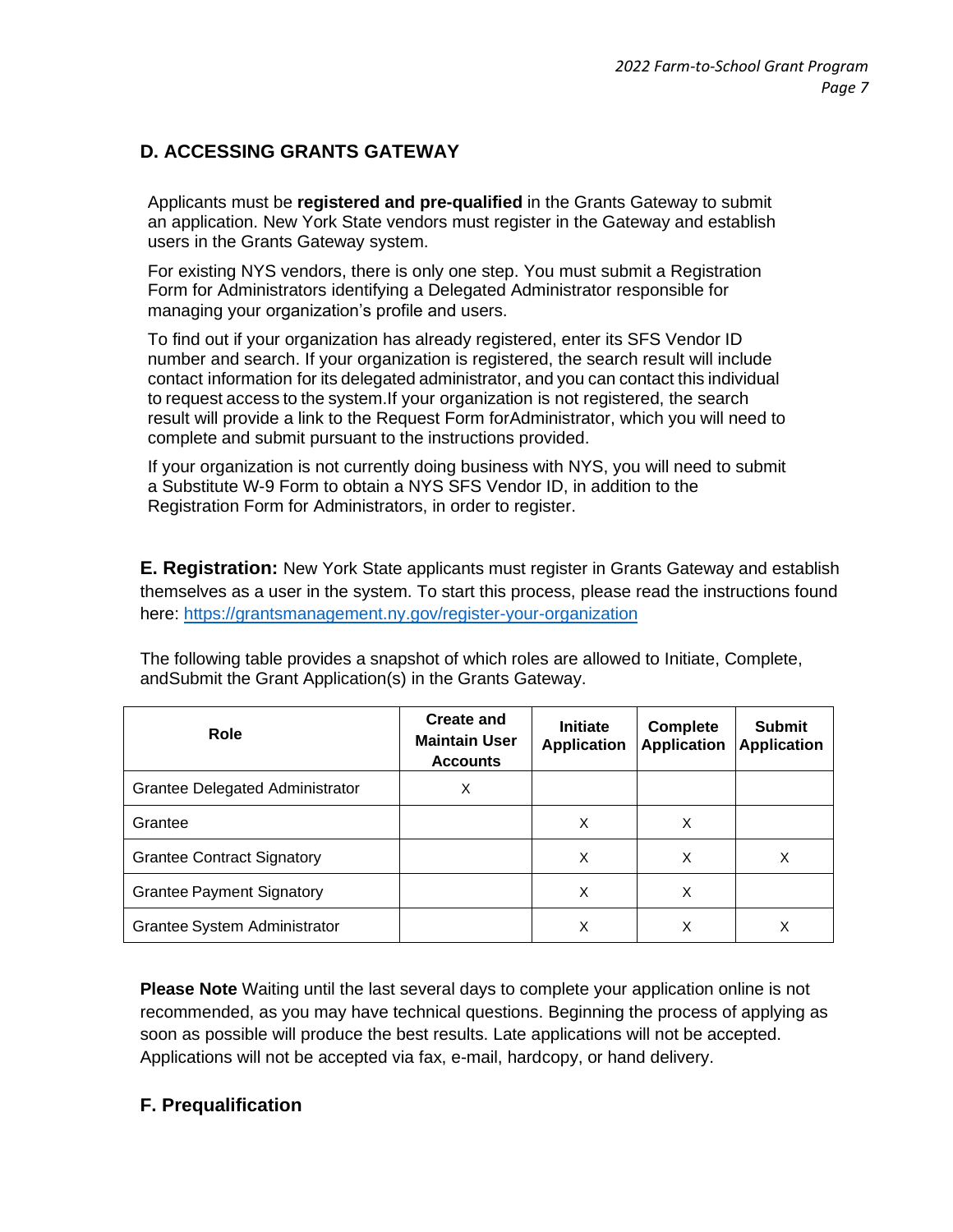# **D. ACCESSING GRANTS GATEWAY**

Applicants must be **registered and pre-qualified** in the Grants Gateway to submit an application. New York State vendors must register in the Gateway and establish users in the Grants Gateway system.

For existing NYS vendors, there is only one step. You must submit a Registration Form for Administrators identifying a Delegated Administrator responsible for managing your organization's profile and users.

To find out if your organization has already registered, enter its SFS Vendor ID number and search. If your organization is registered, the search result will include contact information for its delegated administrator, and you can contact this individual to request access to the system.If your organization is not registered, the search result will provide a link to the Request Form forAdministrator, which you will need to complete and submit pursuant to the instructions provided.

If your organization is not currently doing business with NYS, you will need to submit a Substitute W-9 Form to obtain a NYS SFS Vendor ID, in addition to the Registration Form for Administrators, in order to register.

**E. Registration:** New York State applicants must register in Grants Gateway and establish themselves as a user in the system. To start this process, please read the instructions found here:<https://grantsmanagement.ny.gov/register-your-organization>

| Role                              | <b>Create and</b><br><b>Maintain User</b><br><b>Accounts</b> | <b>Initiate</b><br><b>Application</b> | <b>Complete</b><br><b>Application</b> | <b>Submit</b><br><b>Application</b> |
|-----------------------------------|--------------------------------------------------------------|---------------------------------------|---------------------------------------|-------------------------------------|
| Grantee Delegated Administrator   | X                                                            |                                       |                                       |                                     |
| Grantee                           |                                                              | Χ                                     | X                                     |                                     |
| <b>Grantee Contract Signatory</b> |                                                              | X                                     | Χ                                     | Χ                                   |
| <b>Grantee Payment Signatory</b>  |                                                              | Χ                                     | Χ                                     |                                     |
| Grantee System Administrator      |                                                              | Χ                                     | х                                     | Χ                                   |

The following table provides a snapshot of which roles are allowed to Initiate, Complete, andSubmit the Grant Application(s) in the Grants Gateway.

**Please Note** Waiting until the last several days to complete your application online is not recommended, as you may have technical questions. Beginning the process of applying as soon as possible will produce the best results. Late applications will not be accepted. Applications will not be accepted via fax, e-mail, hardcopy, or hand delivery.

#### **F. Prequalification**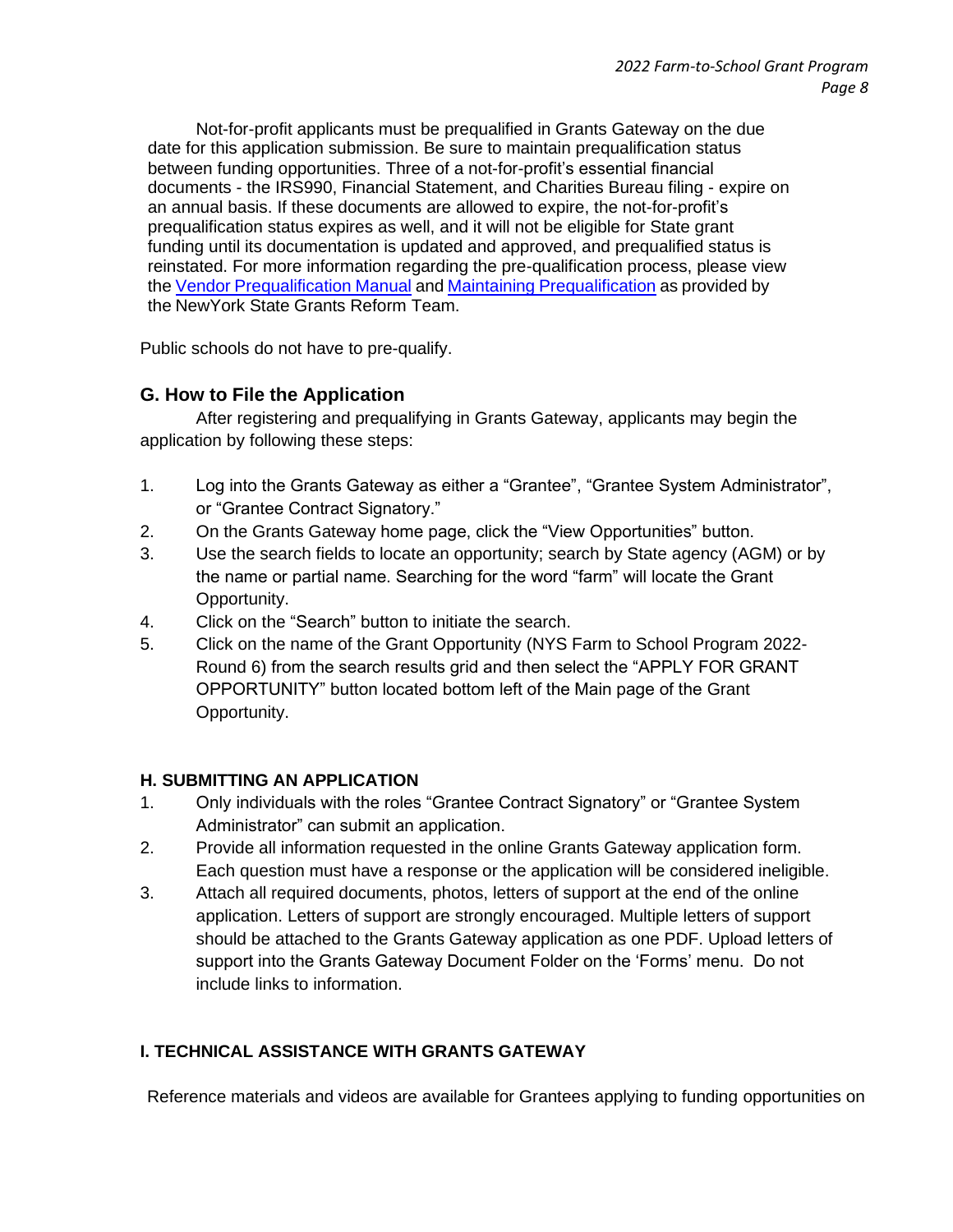Not-for-profit applicants must be prequalified in Grants Gateway on the due date for this application submission. Be sure to maintain prequalification status between funding opportunities. Three of a not-for-profit's essential financial documents - the IRS990, Financial Statement, and Charities Bureau filing - expire on an annual basis. If these documents are allowed to expire, the not-for-profit's prequalification status expires as well, and it will not be eligible for State grant funding until its documentation is updated and approved, and prequalified status is reinstated. For more information regarding the pre-qualification process, please view the Vendor [Prequalification](https://grantsmanagement.ny.gov/system/files/documents/2020/03/vendor-prequalification-manual-june-2019.pdf) Manual and Maintaining [Prequalification](https://grantsmanagement.ny.gov/get-prequalified) as provided by the NewYork State Grants Reform Team.

Public schools do not have to pre-qualify.

# **G. How to File the Application**

After registering and prequalifying in Grants Gateway, applicants may begin the application by following these steps:

- 1. Log into the Grants Gateway as either a "Grantee", "Grantee System Administrator", or "Grantee Contract Signatory."
- 2. On the Grants Gateway home page, click the "View Opportunities" button.
- 3. Use the search fields to locate an opportunity; search by State agency (AGM) or by the name or partial name. Searching for the word "farm" will locate the Grant Opportunity.
- 4. Click on the "Search" button to initiate the search.
- 5. Click on the name of the Grant Opportunity (NYS Farm to School Program 2022- Round 6) from the search results grid and then select the "APPLY FOR GRANT OPPORTUNITY" button located bottom left of the Main page of the Grant Opportunity.

#### **H. SUBMITTING AN APPLICATION**

- 1. Only individuals with the roles "Grantee Contract Signatory" or "Grantee System Administrator" can submit an application.
- 2. Provide all information requested in the online Grants Gateway application form. Each question must have a response or the application will be considered ineligible.
- 3. Attach all required documents, photos, letters of support at the end of the online application. Letters of support are strongly encouraged. Multiple letters of support should be attached to the Grants Gateway application as one PDF. Upload letters of support into the Grants Gateway Document Folder on the 'Forms' menu. Do not include links to information.

#### **I. TECHNICAL ASSISTANCE WITH GRANTS GATEWAY**

Reference materials and videos are available for Grantees applying to funding opportunities on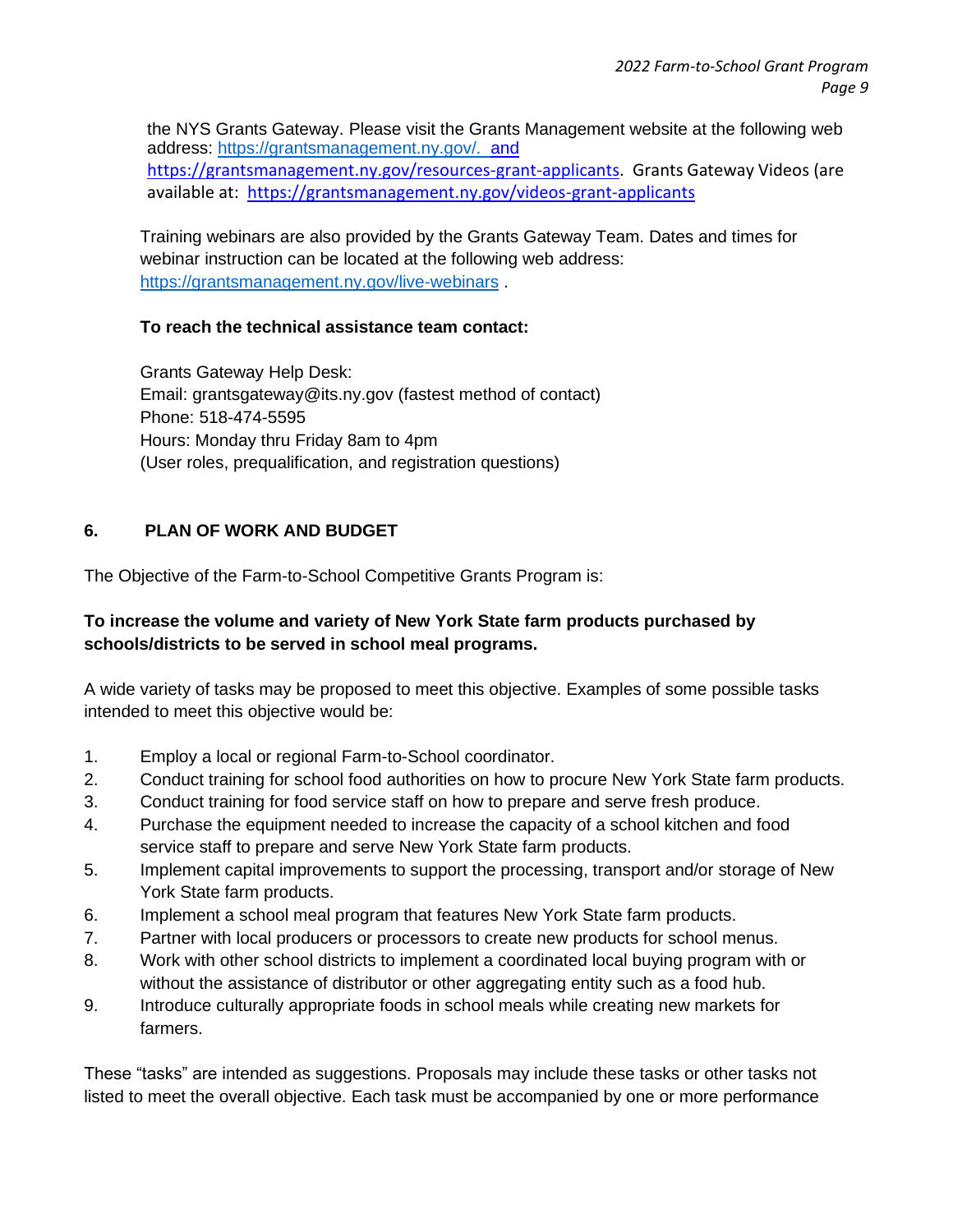the NYS Grants Gateway. Please visit the Grants Management website at the following web address: [https://grantsmanagement.ny.gov/. a](https://grantsmanagement.ny.gov/)nd [https://grantsmanagement.ny.gov/resources-grant-applicants.](https://grantsmanagement.ny.gov/resources-grant-applicants) Grants Gateway Videos (are available at: <https://grantsmanagement.ny.gov/videos-grant-applicants>

Training webinars are also provided by the Grants Gateway Team. Dates and times for webinar instruction can be located at the following web address: <https://grantsmanagement.ny.gov/live-webinars> .

#### **To reach the technical assistance team contact:**

Grants Gateway Help Desk: Email: grantsgateway@its.ny.gov (fastest method of contact) Phone: 518-474-5595 Hours: Monday thru Friday 8am to 4pm (User roles, prequalification, and registration questions)

#### **6. PLAN OF WORK AND BUDGET**

The Objective of the Farm-to-School Competitive Grants Program is:

#### **To increase the volume and variety of New York State farm products purchased by schools/districts to be served in school meal programs.**

A wide variety of tasks may be proposed to meet this objective. Examples of some possible tasks intended to meet this objective would be:

- 1. Employ a local or regional Farm-to-School coordinator.
- 2. Conduct training for school food authorities on how to procure New York State farm products.
- 3. Conduct training for food service staff on how to prepare and serve fresh produce.
- 4. Purchase the equipment needed to increase the capacity of a school kitchen and food service staff to prepare and serve New York State farm products.
- 5. Implement capital improvements to support the processing, transport and/or storage of New York State farm products.
- 6. Implement a school meal program that features New York State farm products.
- 7. Partner with local producers or processors to create new products for school menus.
- 8. Work with other school districts to implement a coordinated local buying program with or without the assistance of distributor or other aggregating entity such as a food hub.
- 9. Introduce culturally appropriate foods in school meals while creating new markets for farmers.

These "tasks" are intended as suggestions. Proposals may include these tasks or other tasks not listed to meet the overall objective. Each task must be accompanied by one or more performance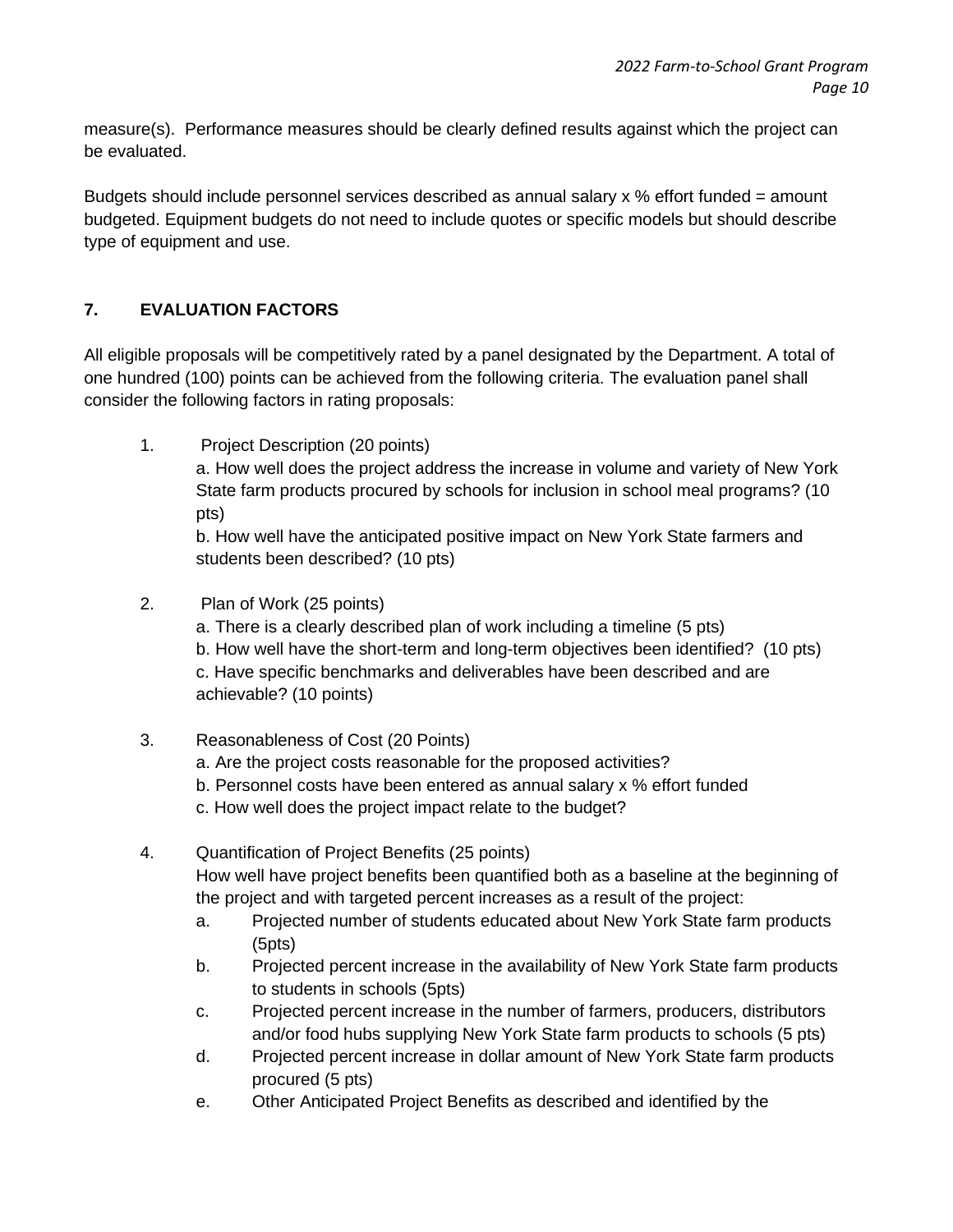measure(s). Performance measures should be clearly defined results against which the project can be evaluated.

Budgets should include personnel services described as annual salary  $x \, \%$  effort funded = amount budgeted. Equipment budgets do not need to include quotes or specific models but should describe type of equipment and use.

# **7. EVALUATION FACTORS**

All eligible proposals will be competitively rated by a panel designated by the Department. A total of one hundred (100) points can be achieved from the following criteria. The evaluation panel shall consider the following factors in rating proposals:

1. Project Description (20 points) a. How well does the project address the increase in volume and variety of New York State farm products procured by schools for inclusion in school meal programs? (10 pts) b. How well have the anticipated positive impact on New York State farmers and

students been described? (10 pts)

# 2. Plan of Work (25 points)

a. There is a clearly described plan of work including a timeline (5 pts) b. How well have the short-term and long-term objectives been identified? (10 pts) c. Have specific benchmarks and deliverables have been described and are achievable? (10 points)

- 3. Reasonableness of Cost (20 Points)
	- a. Are the project costs reasonable for the proposed activities?
	- b. Personnel costs have been entered as annual salary x % effort funded
	- c. How well does the project impact relate to the budget?
- 4. Quantification of Project Benefits (25 points) How well have project benefits been quantified both as a baseline at the beginning of the project and with targeted percent increases as a result of the project:
	- a. Projected number of students educated about New York State farm products (5pts)
	- b. Projected percent increase in the availability of New York State farm products to students in schools (5pts)
	- c. Projected percent increase in the number of farmers, producers, distributors and/or food hubs supplying New York State farm products to schools (5 pts)
	- d. Projected percent increase in dollar amount of New York State farm products procured (5 pts)
	- e. Other Anticipated Project Benefits as described and identified by the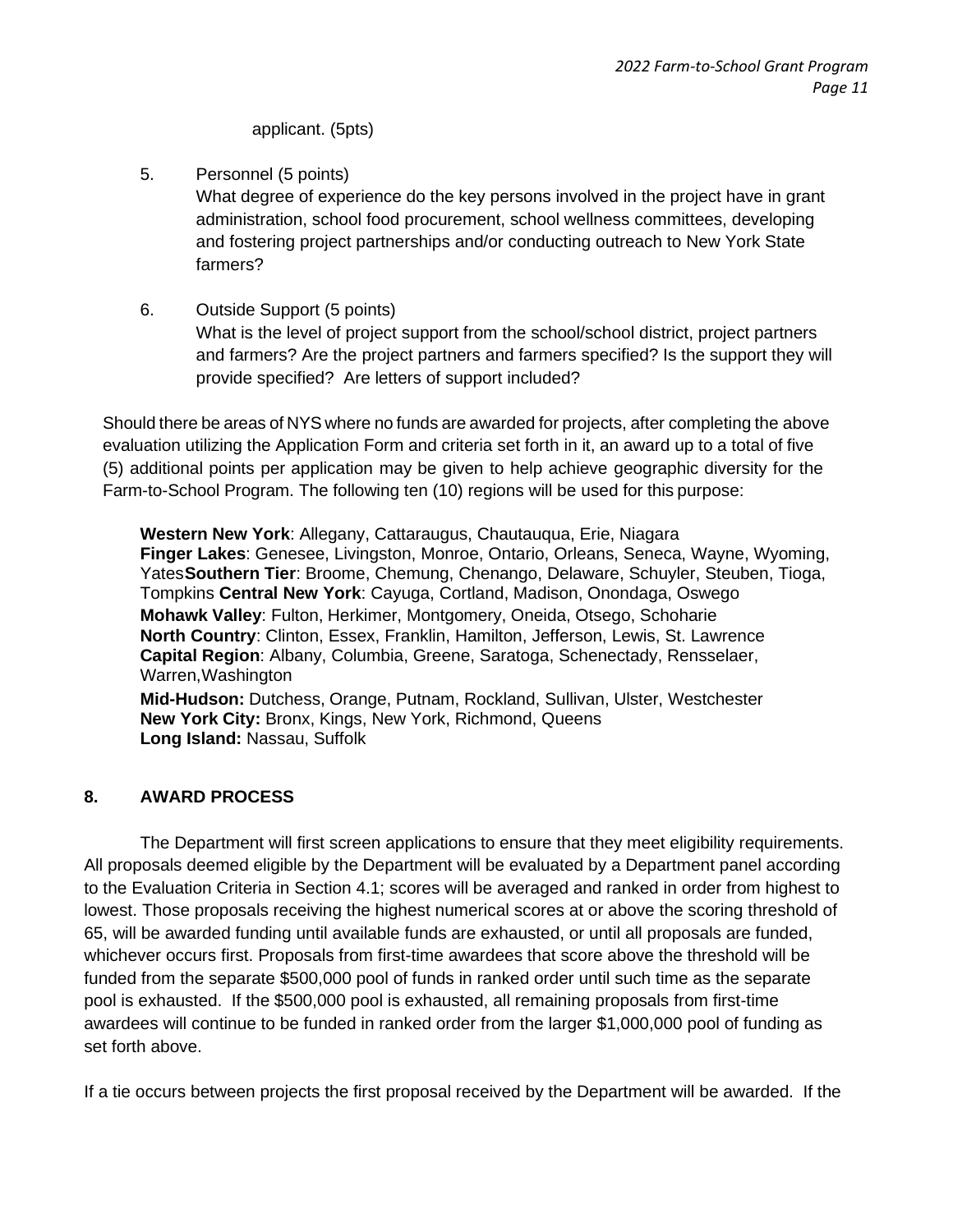applicant. (5pts)

- 5. Personnel (5 points) What degree of experience do the key persons involved in the project have in grant administration, school food procurement, school wellness committees, developing and fostering project partnerships and/or conducting outreach to New York State farmers?
- 6. Outside Support (5 points) What is the level of project support from the school/school district, project partners and farmers? Are the project partners and farmers specified? Is the support they will provide specified? Are letters of support included?

Should there be areas of NYS where no funds are awarded for projects, after completing the above evaluation utilizing the Application Form and criteria set forth in it, an award up to a total of five (5) additional points per application may be given to help achieve geographic diversity for the Farm-to-School Program. The following ten (10) regions will be used for this purpose:

**Western New York**: Allegany, Cattaraugus, Chautauqua, Erie, Niagara **Finger Lakes**: Genesee, Livingston, Monroe, Ontario, Orleans, Seneca, Wayne, Wyoming, Yates**Southern Tier**: Broome, Chemung, Chenango, Delaware, Schuyler, Steuben, Tioga, Tompkins **Central New York**: Cayuga, Cortland, Madison, Onondaga, Oswego **Mohawk Valley**: Fulton, Herkimer, Montgomery, Oneida, Otsego, Schoharie **North Country**: Clinton, Essex, Franklin, Hamilton, Jefferson, Lewis, St. Lawrence **Capital Region**: Albany, Columbia, Greene, Saratoga, Schenectady, Rensselaer, Warren,Washington **Mid-Hudson:** Dutchess, Orange, Putnam, Rockland, Sullivan, Ulster, Westchester **New York City:** Bronx, Kings, New York, Richmond, Queens **Long Island:** Nassau, Suffolk

#### **8. AWARD PROCESS**

The Department will first screen applications to ensure that they meet eligibility requirements. All proposals deemed eligible by the Department will be evaluated by a Department panel according to the Evaluation Criteria in Section 4.1; scores will be averaged and ranked in order from highest to lowest. Those proposals receiving the highest numerical scores at or above the scoring threshold of 65, will be awarded funding until available funds are exhausted, or until all proposals are funded, whichever occurs first. Proposals from first-time awardees that score above the threshold will be funded from the separate \$500,000 pool of funds in ranked order until such time as the separate pool is exhausted. If the \$500,000 pool is exhausted, all remaining proposals from first-time awardees will continue to be funded in ranked order from the larger \$1,000,000 pool of funding as set forth above.

If a tie occurs between projects the first proposal received by the Department will be awarded. If the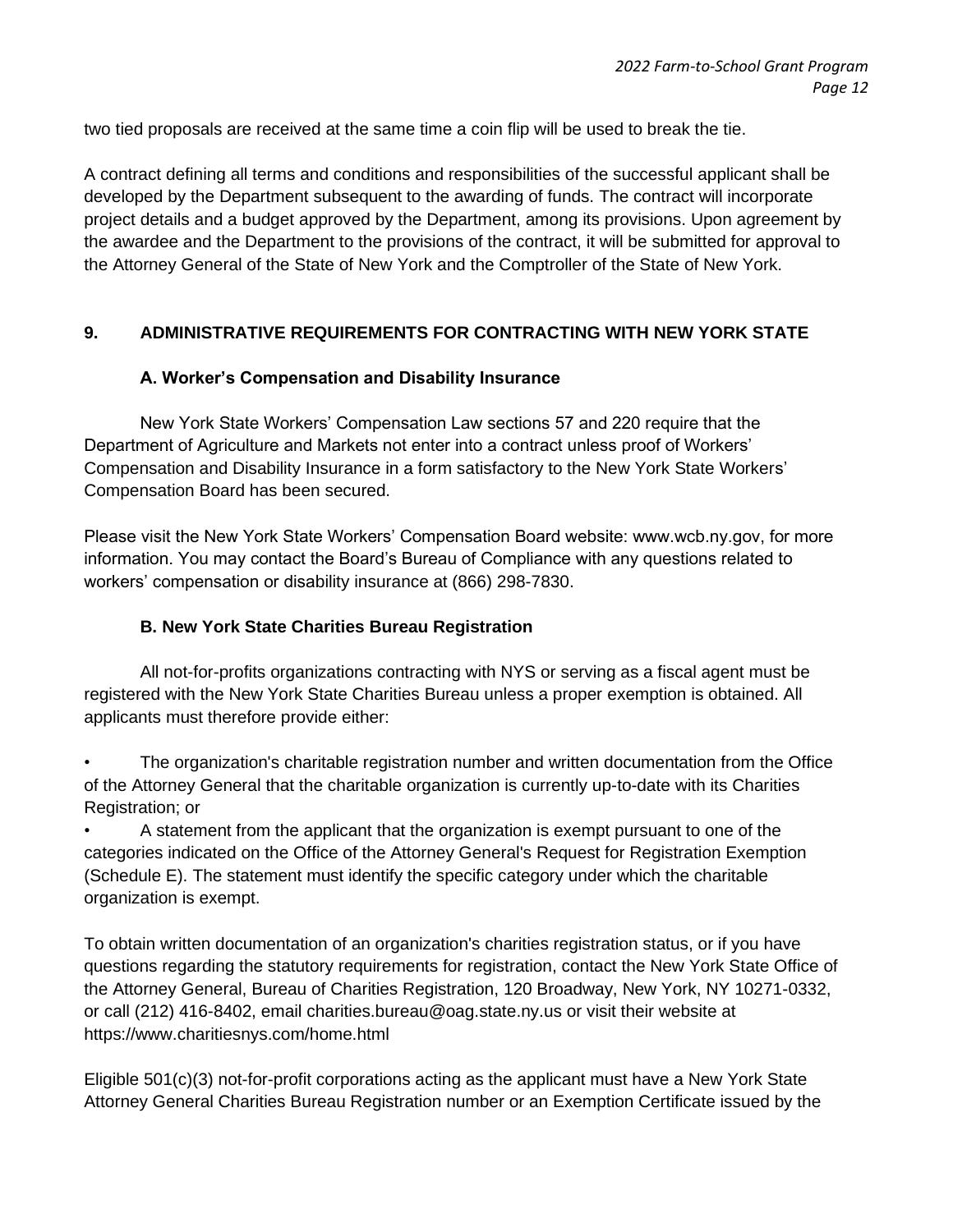two tied proposals are received at the same time a coin flip will be used to break the tie.

A contract defining all terms and conditions and responsibilities of the successful applicant shall be developed by the Department subsequent to the awarding of funds. The contract will incorporate project details and a budget approved by the Department, among its provisions. Upon agreement by the awardee and the Department to the provisions of the contract, it will be submitted for approval to the Attorney General of the State of New York and the Comptroller of the State of New York.

#### **9. ADMINISTRATIVE REQUIREMENTS FOR CONTRACTING WITH NEW YORK STATE**

#### **A. Worker's Compensation and Disability Insurance**

New York State Workers' Compensation Law sections 57 and 220 require that the Department of Agriculture and Markets not enter into a contract unless proof of Workers' Compensation and Disability Insurance in a form satisfactory to the New York State Workers' Compensation Board has been secured.

Please visit the New York State Workers' Compensation Board website: www.wcb.ny.gov, for more information. You may contact the Board's Bureau of Compliance with any questions related to workers' compensation or disability insurance at (866) 298-7830.

#### **B. New York State Charities Bureau Registration**

All not-for-profits organizations contracting with NYS or serving as a fiscal agent must be registered with the New York State Charities Bureau unless a proper exemption is obtained. All applicants must therefore provide either:

• The organization's charitable registration number and written documentation from the Office of the Attorney General that the charitable organization is currently up-to-date with its Charities Registration; or

• A statement from the applicant that the organization is exempt pursuant to one of the categories indicated on the Office of the Attorney General's Request for Registration Exemption (Schedule E). The statement must identify the specific category under which the charitable organization is exempt.

To obtain written documentation of an organization's charities registration status, or if you have questions regarding the statutory requirements for registration, contact the New York State Office of the Attorney General, Bureau of Charities Registration, 120 Broadway, New York, NY 10271-0332, or call (212) 416-8402, email charities.bureau@oag.state.ny.us or visit their website at https://www.charitiesnys.com/home.html

Eligible 501(c)(3) not-for-profit corporations acting as the applicant must have a New York State Attorney General Charities Bureau Registration number or an Exemption Certificate issued by the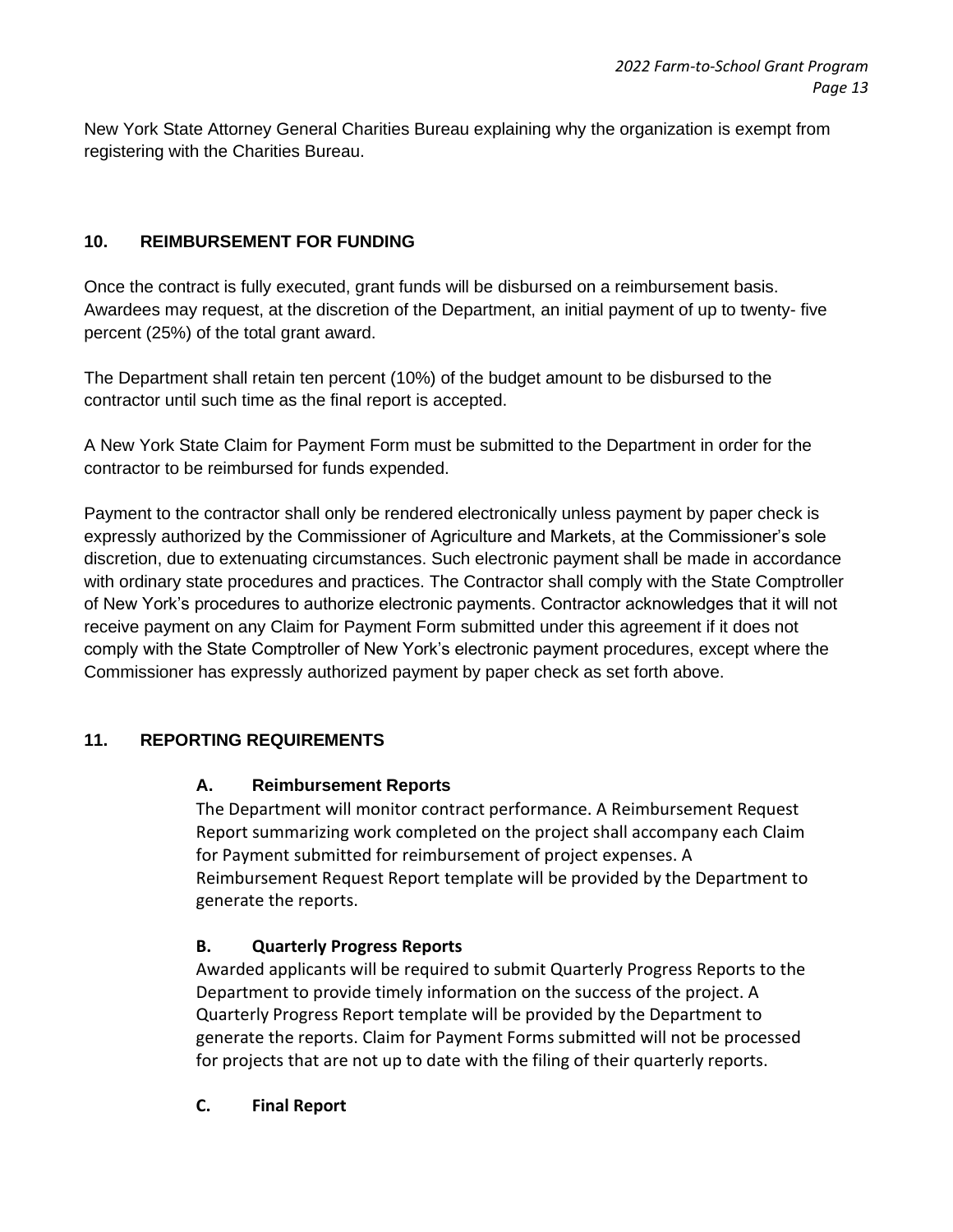New York State Attorney General Charities Bureau explaining why the organization is exempt from registering with the Charities Bureau.

### **10. REIMBURSEMENT FOR FUNDING**

Once the contract is fully executed, grant funds will be disbursed on a reimbursement basis. Awardees may request, at the discretion of the Department, an initial payment of up to twenty- five percent (25%) of the total grant award.

The Department shall retain ten percent (10%) of the budget amount to be disbursed to the contractor until such time as the final report is accepted.

A New York State Claim for Payment Form must be submitted to the Department in order for the contractor to be reimbursed for funds expended.

Payment to the contractor shall only be rendered electronically unless payment by paper check is expressly authorized by the Commissioner of Agriculture and Markets, at the Commissioner's sole discretion, due to extenuating circumstances. Such electronic payment shall be made in accordance with ordinary state procedures and practices. The Contractor shall comply with the State Comptroller of New York's procedures to authorize electronic payments. Contractor acknowledges that it will not receive payment on any Claim for Payment Form submitted under this agreement if it does not comply with the State Comptroller of New York's electronic payment procedures, except where the Commissioner has expressly authorized payment by paper check as set forth above.

#### **11. REPORTING REQUIREMENTS**

#### **A. Reimbursement Reports**

The Department will monitor contract performance. A Reimbursement Request Report summarizing work completed on the project shall accompany each Claim for Payment submitted for reimbursement of project expenses. A Reimbursement Request Report template will be provided by the Department to generate the reports.

#### **B. Quarterly Progress Reports**

Awarded applicants will be required to submit Quarterly Progress Reports to the Department to provide timely information on the success of the project. A Quarterly Progress Report template will be provided by the Department to generate the reports. Claim for Payment Forms submitted will not be processed for projects that are not up to date with the filing of their quarterly reports.

#### **C. Final Report**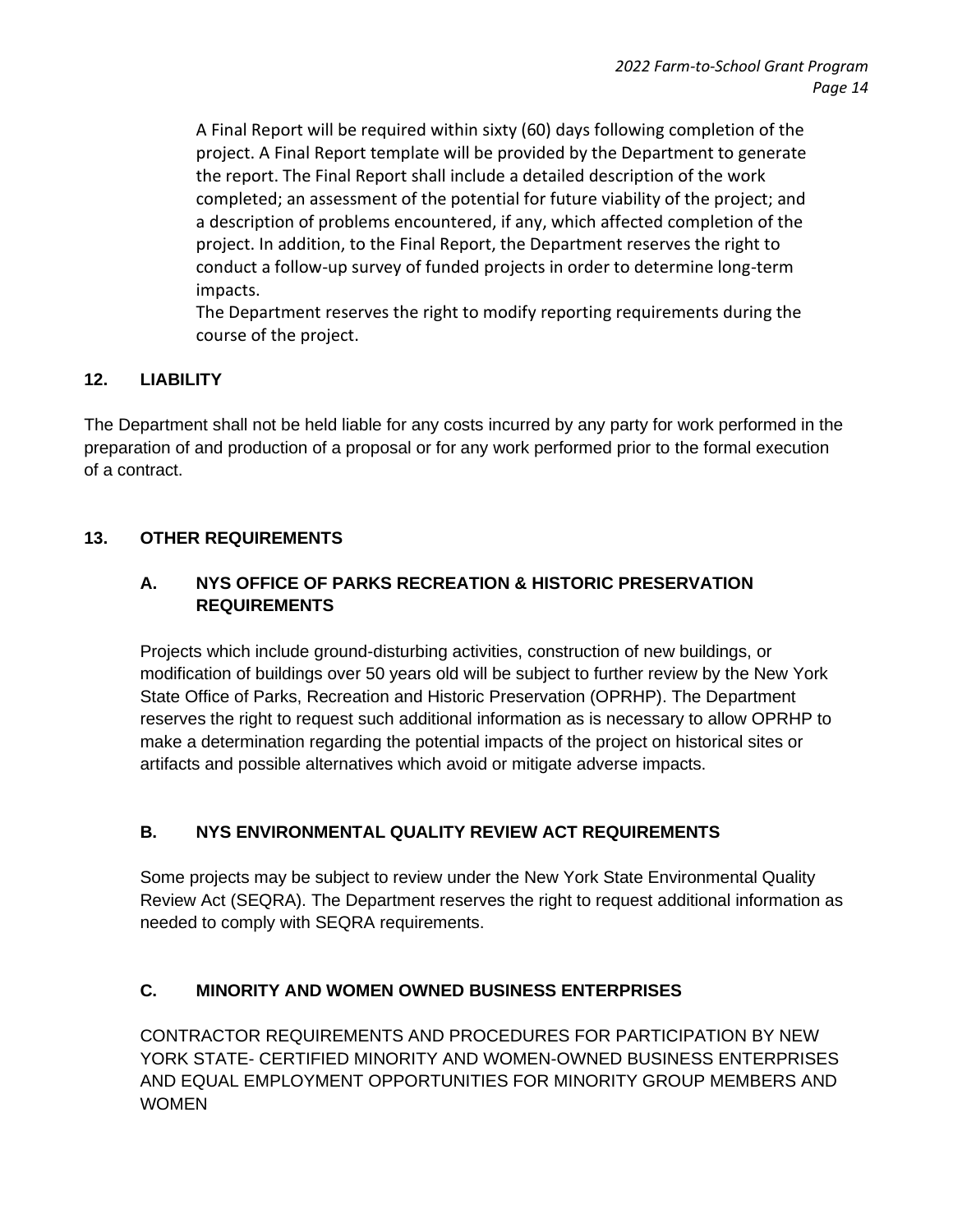A Final Report will be required within sixty (60) days following completion of the project. A Final Report template will be provided by the Department to generate the report. The Final Report shall include a detailed description of the work completed; an assessment of the potential for future viability of the project; and a description of problems encountered, if any, which affected completion of the project. In addition, to the Final Report, the Department reserves the right to conduct a follow-up survey of funded projects in order to determine long-term impacts.

The Department reserves the right to modify reporting requirements during the course of the project.

# **12. LIABILITY**

The Department shall not be held liable for any costs incurred by any party for work performed in the preparation of and production of a proposal or for any work performed prior to the formal execution of a contract.

# **13. OTHER REQUIREMENTS**

# **A. NYS OFFICE OF PARKS RECREATION & HISTORIC PRESERVATION REQUIREMENTS**

Projects which include ground-disturbing activities, construction of new buildings, or modification of buildings over 50 years old will be subject to further review by the New York State Office of Parks, Recreation and Historic Preservation (OPRHP). The Department reserves the right to request such additional information as is necessary to allow OPRHP to make a determination regarding the potential impacts of the project on historical sites or artifacts and possible alternatives which avoid or mitigate adverse impacts.

# **B. NYS ENVIRONMENTAL QUALITY REVIEW ACT REQUIREMENTS**

Some projects may be subject to review under the New York State Environmental Quality Review Act (SEQRA). The Department reserves the right to request additional information as needed to comply with SEQRA requirements.

#### **C. MINORITY AND WOMEN OWNED BUSINESS ENTERPRISES**

CONTRACTOR REQUIREMENTS AND PROCEDURES FOR PARTICIPATION BY NEW YORK STATE- CERTIFIED MINORITY AND WOMEN-OWNED BUSINESS ENTERPRISES AND EQUAL EMPLOYMENT OPPORTUNITIES FOR MINORITY GROUP MEMBERS AND **WOMEN**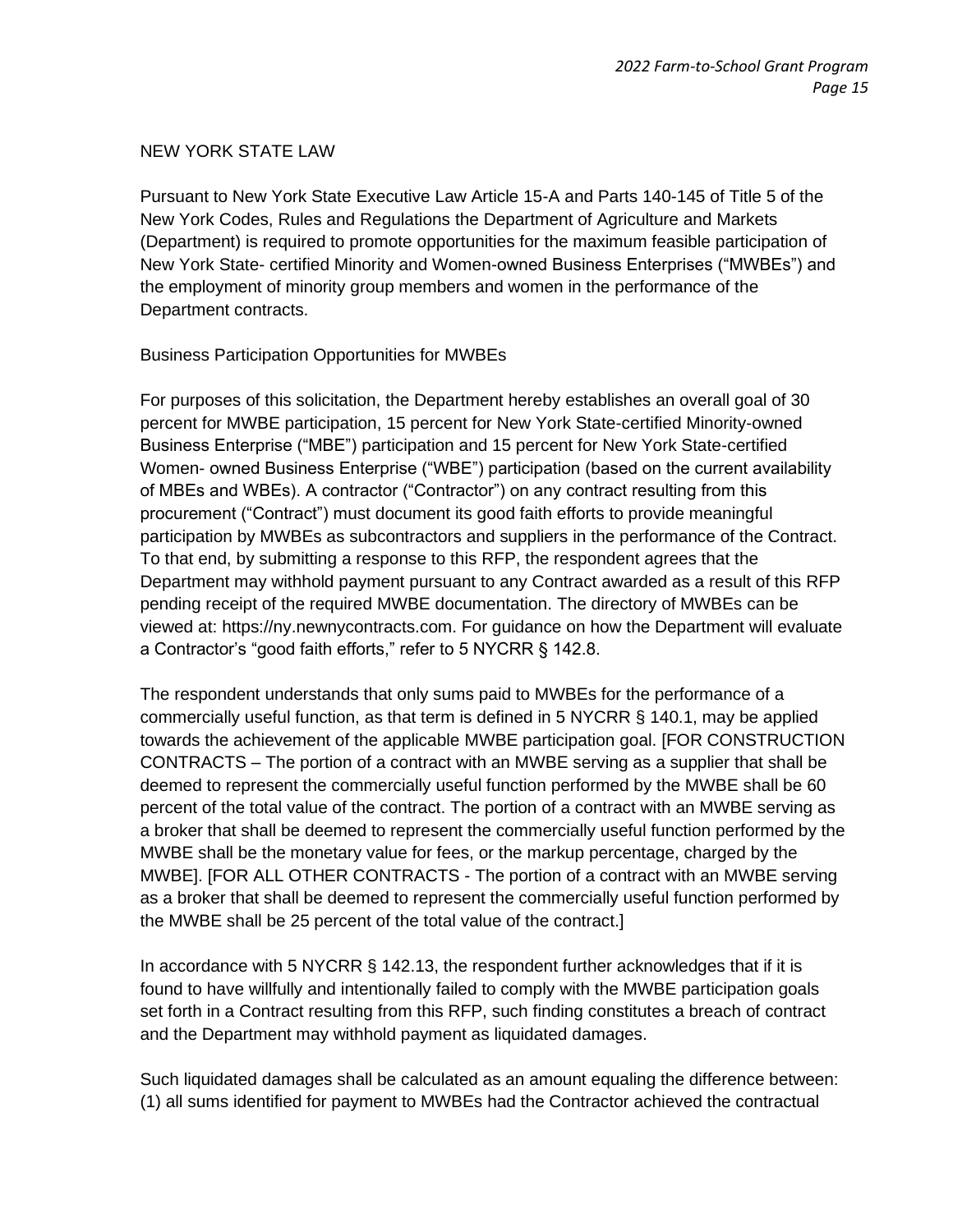#### NEW YORK STATE LAW

Pursuant to New York State Executive Law Article 15-A and Parts 140-145 of Title 5 of the New York Codes, Rules and Regulations the Department of Agriculture and Markets (Department) is required to promote opportunities for the maximum feasible participation of New York State- certified Minority and Women-owned Business Enterprises ("MWBEs") and the employment of minority group members and women in the performance of the Department contracts.

#### Business Participation Opportunities for MWBEs

For purposes of this solicitation, the Department hereby establishes an overall goal of 30 percent for MWBE participation, 15 percent for New York State-certified Minority-owned Business Enterprise ("MBE") participation and 15 percent for New York State-certified Women- owned Business Enterprise ("WBE") participation (based on the current availability of MBEs and WBEs). A contractor ("Contractor") on any contract resulting from this procurement ("Contract") must document its good faith efforts to provide meaningful participation by MWBEs as subcontractors and suppliers in the performance of the Contract. To that end, by submitting a response to this RFP, the respondent agrees that the Department may withhold payment pursuant to any Contract awarded as a result of this RFP pending receipt of the required MWBE documentation. The directory of MWBEs can be viewed at: https://ny.newnycontracts.com. For guidance on how the Department will evaluate a Contractor's "good faith efforts," refer to 5 NYCRR § 142.8.

The respondent understands that only sums paid to MWBEs for the performance of a commercially useful function, as that term is defined in 5 NYCRR § 140.1, may be applied towards the achievement of the applicable MWBE participation goal. [FOR CONSTRUCTION CONTRACTS – The portion of a contract with an MWBE serving as a supplier that shall be deemed to represent the commercially useful function performed by the MWBE shall be 60 percent of the total value of the contract. The portion of a contract with an MWBE serving as a broker that shall be deemed to represent the commercially useful function performed by the MWBE shall be the monetary value for fees, or the markup percentage, charged by the MWBE]. [FOR ALL OTHER CONTRACTS - The portion of a contract with an MWBE serving as a broker that shall be deemed to represent the commercially useful function performed by the MWBE shall be 25 percent of the total value of the contract.]

In accordance with 5 NYCRR § 142.13, the respondent further acknowledges that if it is found to have willfully and intentionally failed to comply with the MWBE participation goals set forth in a Contract resulting from this RFP, such finding constitutes a breach of contract and the Department may withhold payment as liquidated damages.

Such liquidated damages shall be calculated as an amount equaling the difference between: (1) all sums identified for payment to MWBEs had the Contractor achieved the contractual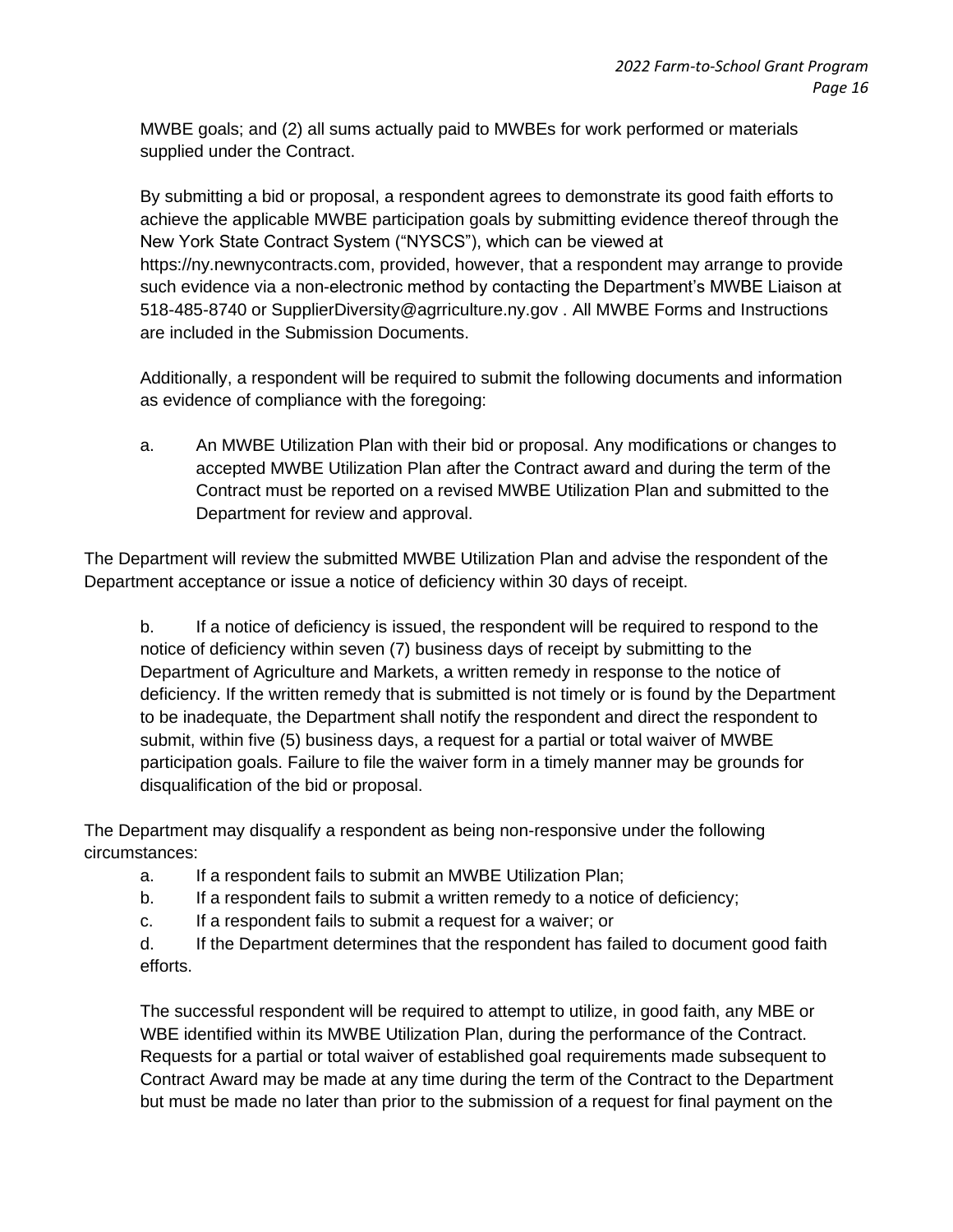MWBE goals; and (2) all sums actually paid to MWBEs for work performed or materials supplied under the Contract.

By submitting a bid or proposal, a respondent agrees to demonstrate its good faith efforts to achieve the applicable MWBE participation goals by submitting evidence thereof through the New York State Contract System ("NYSCS"), which can be viewed at https://ny.newnycontracts.com, provided, however, that a respondent may arrange to provide such evidence via a non-electronic method by contacting the Department's MWBE Liaison at 518-485-8740 or SupplierDiversity@agrriculture.ny.gov . All MWBE Forms and Instructions are included in the Submission Documents.

Additionally, a respondent will be required to submit the following documents and information as evidence of compliance with the foregoing:

a. An MWBE Utilization Plan with their bid or proposal. Any modifications or changes to accepted MWBE Utilization Plan after the Contract award and during the term of the Contract must be reported on a revised MWBE Utilization Plan and submitted to the Department for review and approval.

The Department will review the submitted MWBE Utilization Plan and advise the respondent of the Department acceptance or issue a notice of deficiency within 30 days of receipt.

b. If a notice of deficiency is issued, the respondent will be required to respond to the notice of deficiency within seven (7) business days of receipt by submitting to the Department of Agriculture and Markets, a written remedy in response to the notice of deficiency. If the written remedy that is submitted is not timely or is found by the Department to be inadequate, the Department shall notify the respondent and direct the respondent to submit, within five (5) business days, a request for a partial or total waiver of MWBE participation goals. Failure to file the waiver form in a timely manner may be grounds for disqualification of the bid or proposal.

The Department may disqualify a respondent as being non-responsive under the following circumstances:

- a. If a respondent fails to submit an MWBE Utilization Plan;
- b. If a respondent fails to submit a written remedy to a notice of deficiency;
- c. If a respondent fails to submit a request for a waiver; or
- d. If the Department determines that the respondent has failed to document good faith efforts.

The successful respondent will be required to attempt to utilize, in good faith, any MBE or WBE identified within its MWBE Utilization Plan, during the performance of the Contract. Requests for a partial or total waiver of established goal requirements made subsequent to Contract Award may be made at any time during the term of the Contract to the Department but must be made no later than prior to the submission of a request for final payment on the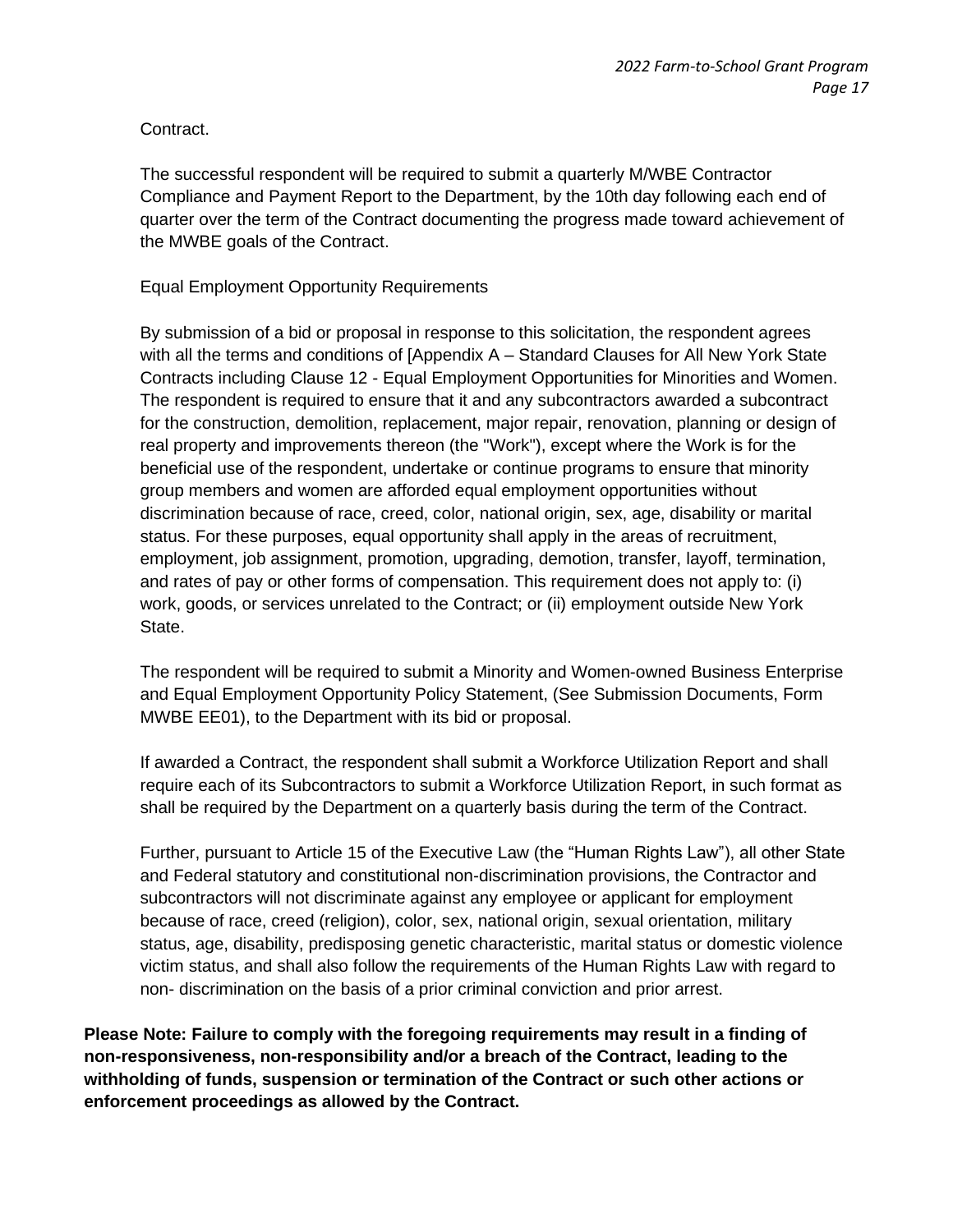#### Contract.

The successful respondent will be required to submit a quarterly M/WBE Contractor Compliance and Payment Report to the Department, by the 10th day following each end of quarter over the term of the Contract documenting the progress made toward achievement of the MWBE goals of the Contract.

#### Equal Employment Opportunity Requirements

By submission of a bid or proposal in response to this solicitation, the respondent agrees with all the terms and conditions of [Appendix A – Standard Clauses for All New York State Contracts including Clause 12 - Equal Employment Opportunities for Minorities and Women. The respondent is required to ensure that it and any subcontractors awarded a subcontract for the construction, demolition, replacement, major repair, renovation, planning or design of real property and improvements thereon (the "Work"), except where the Work is for the beneficial use of the respondent, undertake or continue programs to ensure that minority group members and women are afforded equal employment opportunities without discrimination because of race, creed, color, national origin, sex, age, disability or marital status. For these purposes, equal opportunity shall apply in the areas of recruitment, employment, job assignment, promotion, upgrading, demotion, transfer, layoff, termination, and rates of pay or other forms of compensation. This requirement does not apply to: (i) work, goods, or services unrelated to the Contract; or (ii) employment outside New York State.

The respondent will be required to submit a Minority and Women-owned Business Enterprise and Equal Employment Opportunity Policy Statement, (See Submission Documents, Form MWBE EE01), to the Department with its bid or proposal.

If awarded a Contract, the respondent shall submit a Workforce Utilization Report and shall require each of its Subcontractors to submit a Workforce Utilization Report, in such format as shall be required by the Department on a quarterly basis during the term of the Contract.

Further, pursuant to Article 15 of the Executive Law (the "Human Rights Law"), all other State and Federal statutory and constitutional non-discrimination provisions, the Contractor and subcontractors will not discriminate against any employee or applicant for employment because of race, creed (religion), color, sex, national origin, sexual orientation, military status, age, disability, predisposing genetic characteristic, marital status or domestic violence victim status, and shall also follow the requirements of the Human Rights Law with regard to non- discrimination on the basis of a prior criminal conviction and prior arrest.

**Please Note: Failure to comply with the foregoing requirements may result in a finding of non-responsiveness, non-responsibility and/or a breach of the Contract, leading to the withholding of funds, suspension or termination of the Contract or such other actions or enforcement proceedings as allowed by the Contract.**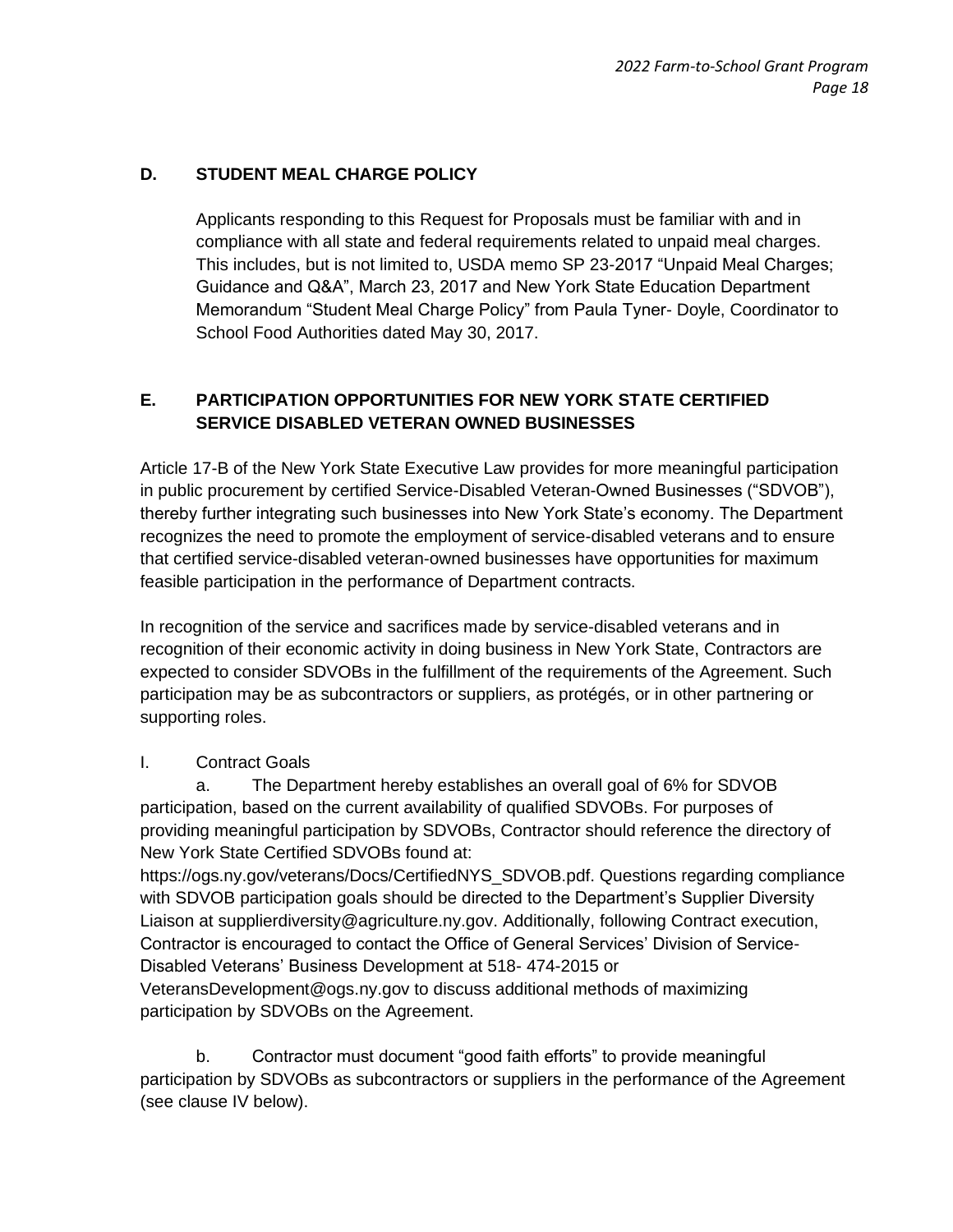# **D. STUDENT MEAL CHARGE POLICY**

Applicants responding to this Request for Proposals must be familiar with and in compliance with all state and federal requirements related to unpaid meal charges. This includes, but is not limited to, USDA memo SP 23-2017 "Unpaid Meal Charges; Guidance and Q&A", March 23, 2017 and New York State Education Department Memorandum "Student Meal Charge Policy" from Paula Tyner- Doyle, Coordinator to School Food Authorities dated May 30, 2017.

# **E. PARTICIPATION OPPORTUNITIES FOR NEW YORK STATE CERTIFIED SERVICE DISABLED VETERAN OWNED BUSINESSES**

Article 17-B of the New York State Executive Law provides for more meaningful participation in public procurement by certified Service-Disabled Veteran-Owned Businesses ("SDVOB"), thereby further integrating such businesses into New York State's economy. The Department recognizes the need to promote the employment of service-disabled veterans and to ensure that certified service-disabled veteran-owned businesses have opportunities for maximum feasible participation in the performance of Department contracts.

In recognition of the service and sacrifices made by service-disabled veterans and in recognition of their economic activity in doing business in New York State, Contractors are expected to consider SDVOBs in the fulfillment of the requirements of the Agreement. Such participation may be as subcontractors or suppliers, as protégés, or in other partnering or supporting roles.

#### I. Contract Goals

a. The Department hereby establishes an overall goal of 6% for SDVOB participation, based on the current availability of qualified SDVOBs. For purposes of providing meaningful participation by SDVOBs, Contractor should reference the directory of New York State Certified SDVOBs found at:

https://ogs.ny.gov/veterans/Docs/CertifiedNYS\_SDVOB.pdf. Questions regarding compliance with SDVOB participation goals should be directed to the Department's Supplier Diversity Liaison at supplierdiversity@agriculture.ny.gov. Additionally, following Contract execution, Contractor is encouraged to contact the Office of General Services' Division of Service-Disabled Veterans' Business Development at 518- 474-2015 or VeteransDevelopment@ogs.ny.gov to discuss additional methods of maximizing participation by SDVOBs on the Agreement.

b. Contractor must document "good faith efforts" to provide meaningful participation by SDVOBs as subcontractors or suppliers in the performance of the Agreement (see clause IV below).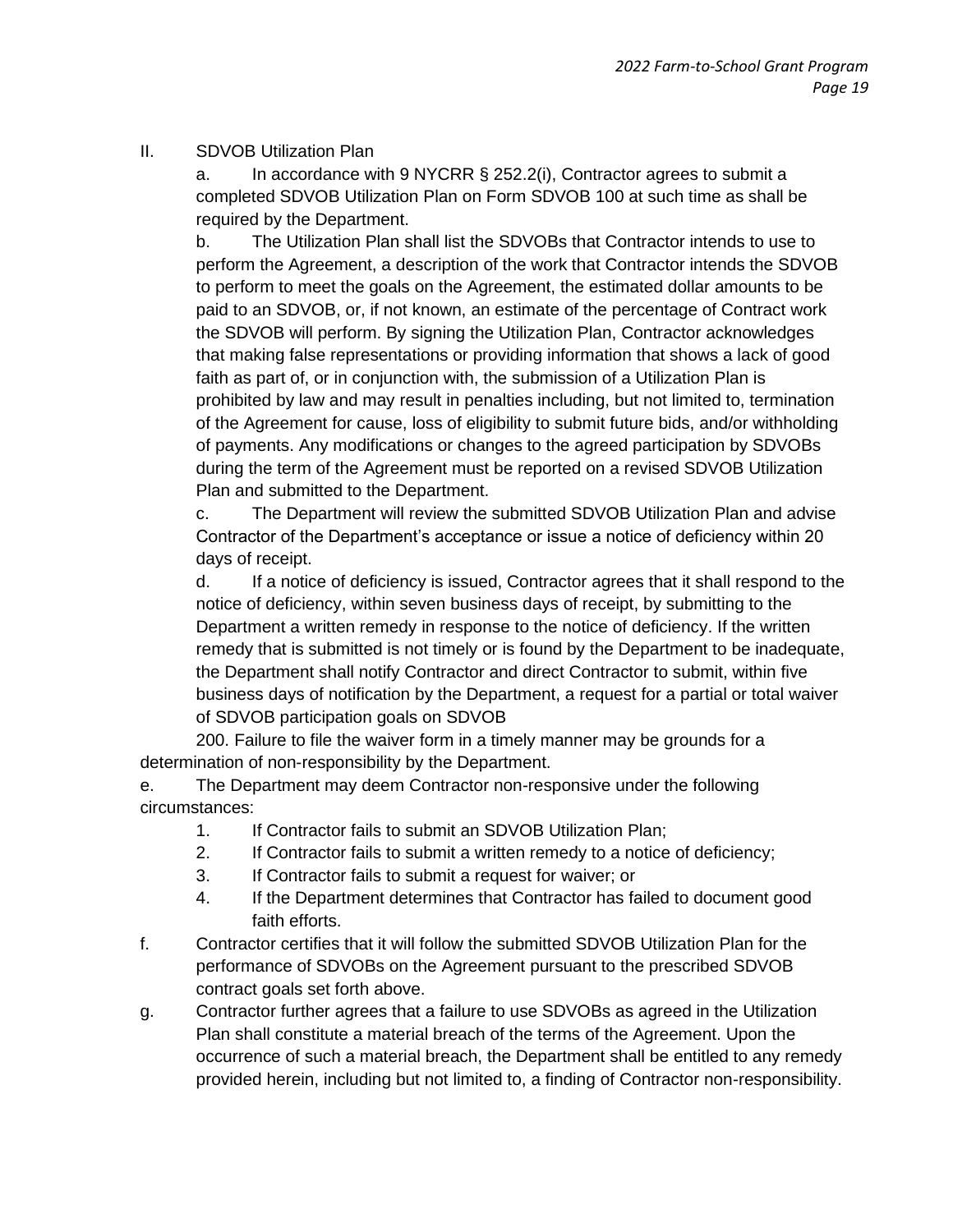#### II. SDVOB Utilization Plan

a. In accordance with 9 NYCRR § 252.2(i), Contractor agrees to submit a completed SDVOB Utilization Plan on Form SDVOB 100 at such time as shall be required by the Department.

b. The Utilization Plan shall list the SDVOBs that Contractor intends to use to perform the Agreement, a description of the work that Contractor intends the SDVOB to perform to meet the goals on the Agreement, the estimated dollar amounts to be paid to an SDVOB, or, if not known, an estimate of the percentage of Contract work the SDVOB will perform. By signing the Utilization Plan, Contractor acknowledges that making false representations or providing information that shows a lack of good faith as part of, or in conjunction with, the submission of a Utilization Plan is prohibited by law and may result in penalties including, but not limited to, termination of the Agreement for cause, loss of eligibility to submit future bids, and/or withholding of payments. Any modifications or changes to the agreed participation by SDVOBs during the term of the Agreement must be reported on a revised SDVOB Utilization Plan and submitted to the Department.

c. The Department will review the submitted SDVOB Utilization Plan and advise Contractor of the Department's acceptance or issue a notice of deficiency within 20 days of receipt.

d. If a notice of deficiency is issued, Contractor agrees that it shall respond to the notice of deficiency, within seven business days of receipt, by submitting to the Department a written remedy in response to the notice of deficiency. If the written remedy that is submitted is not timely or is found by the Department to be inadequate, the Department shall notify Contractor and direct Contractor to submit, within five business days of notification by the Department, a request for a partial or total waiver of SDVOB participation goals on SDVOB

200. Failure to file the waiver form in a timely manner may be grounds for a determination of non-responsibility by the Department.

e. The Department may deem Contractor non-responsive under the following circumstances:

- 1. If Contractor fails to submit an SDVOB Utilization Plan;
- 2. If Contractor fails to submit a written remedy to a notice of deficiency;
- 3. If Contractor fails to submit a request for waiver; or
- 4. If the Department determines that Contractor has failed to document good faith efforts.
- f. Contractor certifies that it will follow the submitted SDVOB Utilization Plan for the performance of SDVOBs on the Agreement pursuant to the prescribed SDVOB contract goals set forth above.
- g. Contractor further agrees that a failure to use SDVOBs as agreed in the Utilization Plan shall constitute a material breach of the terms of the Agreement. Upon the occurrence of such a material breach, the Department shall be entitled to any remedy provided herein, including but not limited to, a finding of Contractor non-responsibility.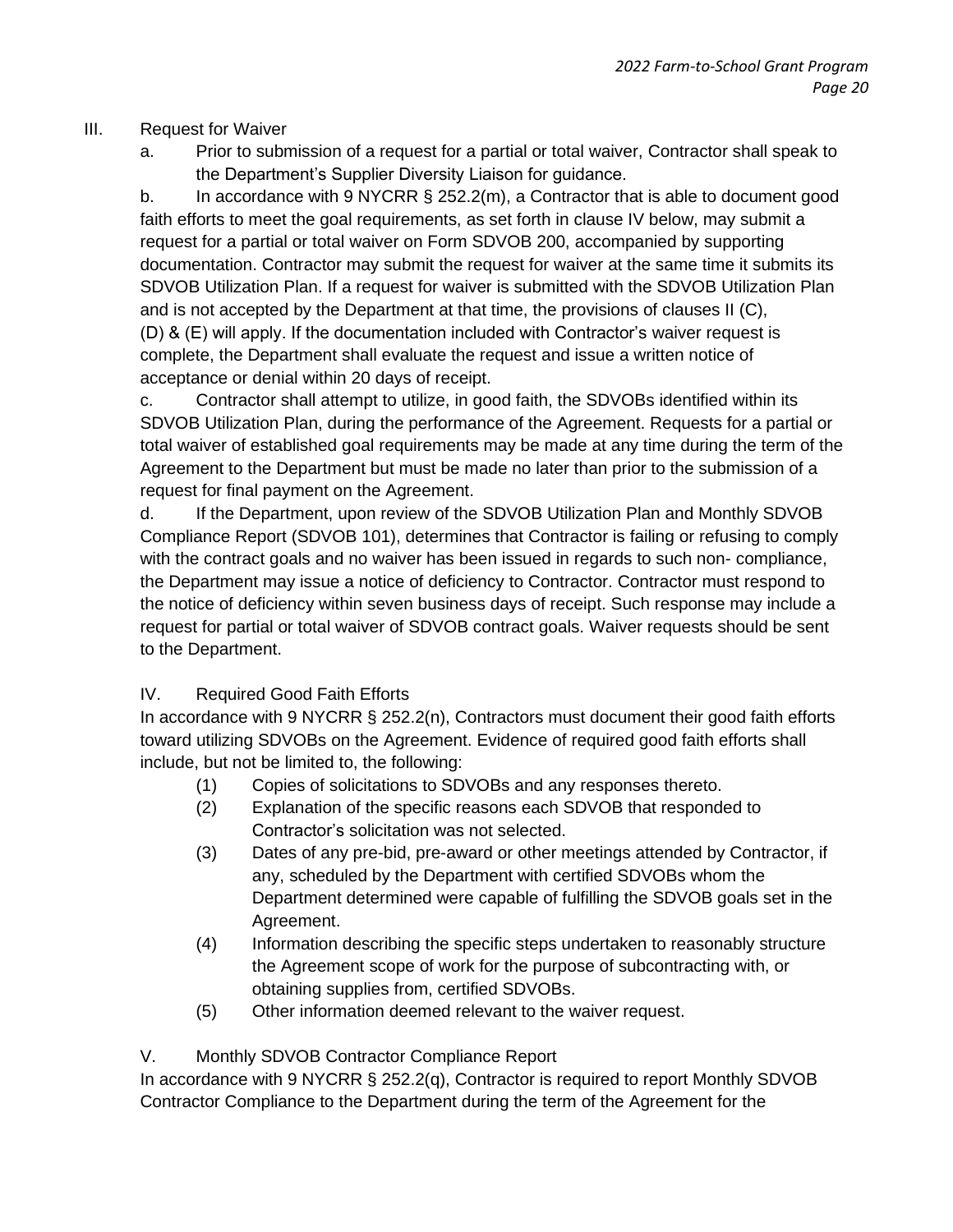# III. Request for Waiver

a. Prior to submission of a request for a partial or total waiver, Contractor shall speak to the Department's Supplier Diversity Liaison for guidance.

b. In accordance with 9 NYCRR § 252.2(m), a Contractor that is able to document good faith efforts to meet the goal requirements, as set forth in clause IV below, may submit a request for a partial or total waiver on Form SDVOB 200, accompanied by supporting documentation. Contractor may submit the request for waiver at the same time it submits its SDVOB Utilization Plan. If a request for waiver is submitted with the SDVOB Utilization Plan and is not accepted by the Department at that time, the provisions of clauses II (C), (D) & (E) will apply. If the documentation included with Contractor's waiver request is complete, the Department shall evaluate the request and issue a written notice of acceptance or denial within 20 days of receipt.

c. Contractor shall attempt to utilize, in good faith, the SDVOBs identified within its SDVOB Utilization Plan, during the performance of the Agreement. Requests for a partial or total waiver of established goal requirements may be made at any time during the term of the Agreement to the Department but must be made no later than prior to the submission of a request for final payment on the Agreement.

d. If the Department, upon review of the SDVOB Utilization Plan and Monthly SDVOB Compliance Report (SDVOB 101), determines that Contractor is failing or refusing to comply with the contract goals and no waiver has been issued in regards to such non- compliance, the Department may issue a notice of deficiency to Contractor. Contractor must respond to the notice of deficiency within seven business days of receipt. Such response may include a request for partial or total waiver of SDVOB contract goals. Waiver requests should be sent to the Department.

# IV. Required Good Faith Efforts

In accordance with 9 NYCRR § 252.2(n), Contractors must document their good faith efforts toward utilizing SDVOBs on the Agreement. Evidence of required good faith efforts shall include, but not be limited to, the following:

- (1) Copies of solicitations to SDVOBs and any responses thereto.
- (2) Explanation of the specific reasons each SDVOB that responded to Contractor's solicitation was not selected.
- (3) Dates of any pre-bid, pre-award or other meetings attended by Contractor, if any, scheduled by the Department with certified SDVOBs whom the Department determined were capable of fulfilling the SDVOB goals set in the Agreement.
- (4) Information describing the specific steps undertaken to reasonably structure the Agreement scope of work for the purpose of subcontracting with, or obtaining supplies from, certified SDVOBs.
- (5) Other information deemed relevant to the waiver request.

V. Monthly SDVOB Contractor Compliance Report

In accordance with 9 NYCRR § 252.2(q), Contractor is required to report Monthly SDVOB Contractor Compliance to the Department during the term of the Agreement for the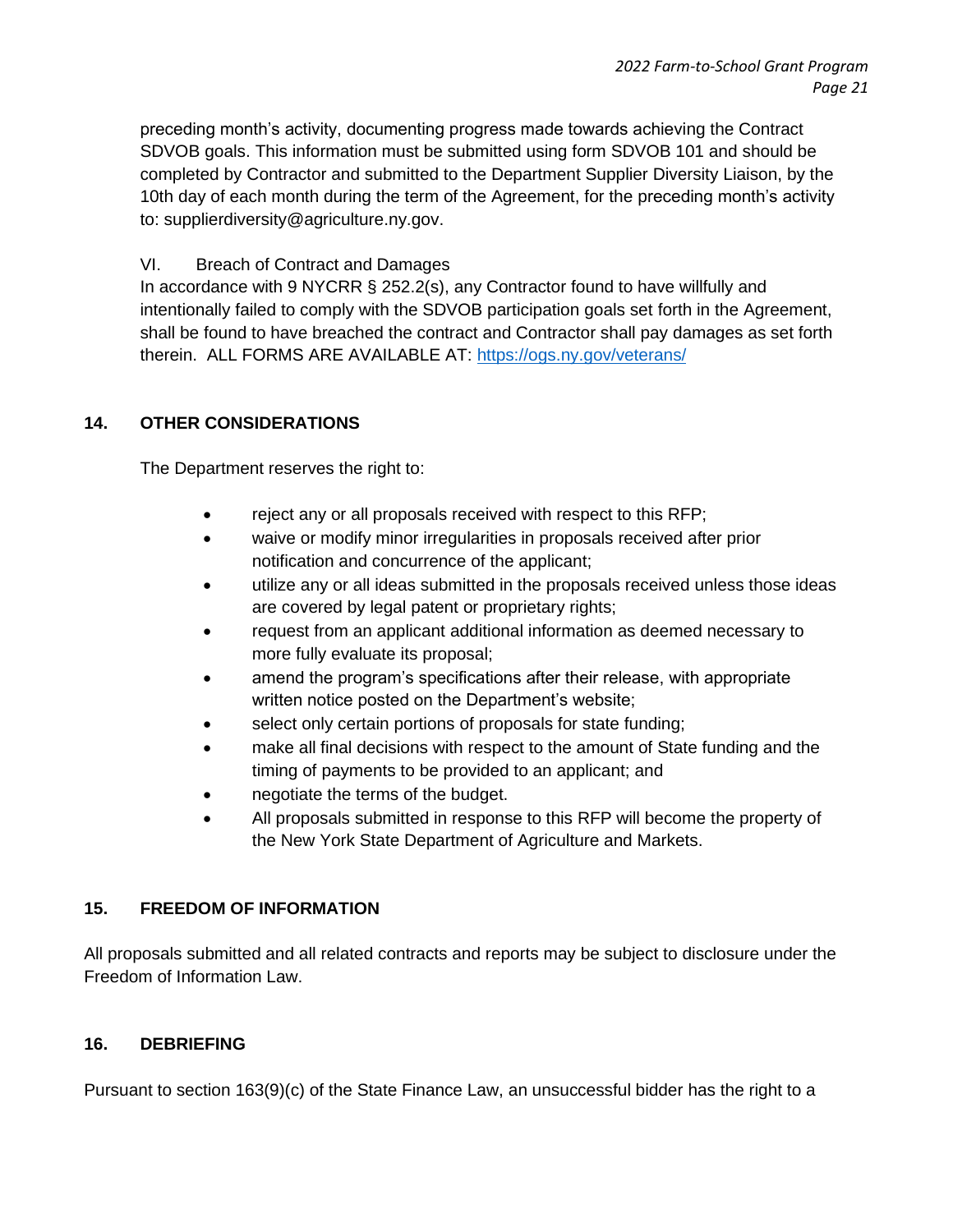preceding month's activity, documenting progress made towards achieving the Contract SDVOB goals. This information must be submitted using form SDVOB 101 and should be completed by Contractor and submitted to the Department Supplier Diversity Liaison, by the 10th day of each month during the term of the Agreement, for the preceding month's activity to: supplierdiversity@agriculture.ny.gov.

### VI. Breach of Contract and Damages

In accordance with 9 NYCRR § 252.2(s), any Contractor found to have willfully and intentionally failed to comply with the SDVOB participation goals set forth in the Agreement, shall be found to have breached the contract and Contractor shall pay damages as set forth therein. ALL FORMS ARE AVAILABLE AT:<https://ogs.ny.gov/veterans/>

# **14. OTHER CONSIDERATIONS**

The Department reserves the right to:

- reject any or all proposals received with respect to this RFP;
- waive or modify minor irregularities in proposals received after prior notification and concurrence of the applicant;
- utilize any or all ideas submitted in the proposals received unless those ideas are covered by legal patent or proprietary rights;
- request from an applicant additional information as deemed necessary to more fully evaluate its proposal;
- amend the program's specifications after their release, with appropriate written notice posted on the Department's website;
- select only certain portions of proposals for state funding;
- make all final decisions with respect to the amount of State funding and the timing of payments to be provided to an applicant; and
- negotiate the terms of the budget.
- All proposals submitted in response to this RFP will become the property of the New York State Department of Agriculture and Markets.

#### **15. FREEDOM OF INFORMATION**

All proposals submitted and all related contracts and reports may be subject to disclosure under the Freedom of Information Law.

#### **16. DEBRIEFING**

Pursuant to section 163(9)(c) of the State Finance Law, an unsuccessful bidder has the right to a